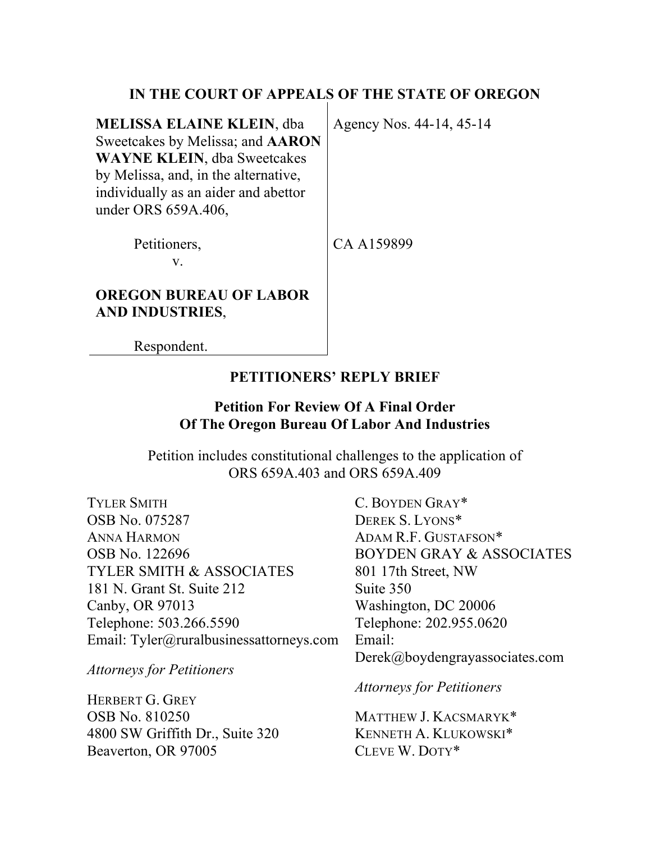## **IN THE COURT OF APPEALS OF THE STATE OF OREGON**

| <b>MELISSA ELAINE KLEIN, dba</b><br>Sweetcakes by Melissa; and <b>AARON</b><br><b>WAYNE KLEIN, dba Sweetcakes</b><br>by Melissa, and, in the alternative,<br>individually as an aider and abettor<br>under ORS 659A.406, | Agency Nos. 44-14, 45-14 |
|--------------------------------------------------------------------------------------------------------------------------------------------------------------------------------------------------------------------------|--------------------------|
| Petitioners,<br>${\bf V}_-$                                                                                                                                                                                              | CA A159899               |
| <b>OREGON BUREAU OF LABOR</b><br><b>AND INDUSTRIES.</b>                                                                                                                                                                  |                          |

Respondent.

### **PETITIONERS' REPLY BRIEF**

## **Petition For Review Of A Final Order Of The Oregon Bureau Of Labor And Industries**

Petition includes constitutional challenges to the application of ORS 659A.403 and ORS 659A.409

TYLER SMITH OSB No. 075287 ANNA HARMON OSB No. 122696 TYLER SMITH & ASSOCIATES 181 N. Grant St. Suite 212 Canby, OR 97013 Telephone: 503.266.5590 Email: Tyler@ruralbusinessattorneys.com

*Attorneys for Petitioners*

HERBERT G. GREY OSB No. 810250 4800 SW Griffith Dr., Suite 320 Beaverton, OR 97005

C. BOYDEN GRAY\* DEREK S. LYONS\* ADAM R.F. GUSTAFSON\* BOYDEN GRAY & ASSOCIATES 801 17th Street, NW Suite 350 Washington, DC 20006 Telephone: 202.955.0620 Email: Derek@boydengrayassociates.com

*Attorneys for Petitioners*

MATTHEW J. KACSMARYK\* KENNETH A. KLUKOWSKI\* CLEVE W. DOTY\*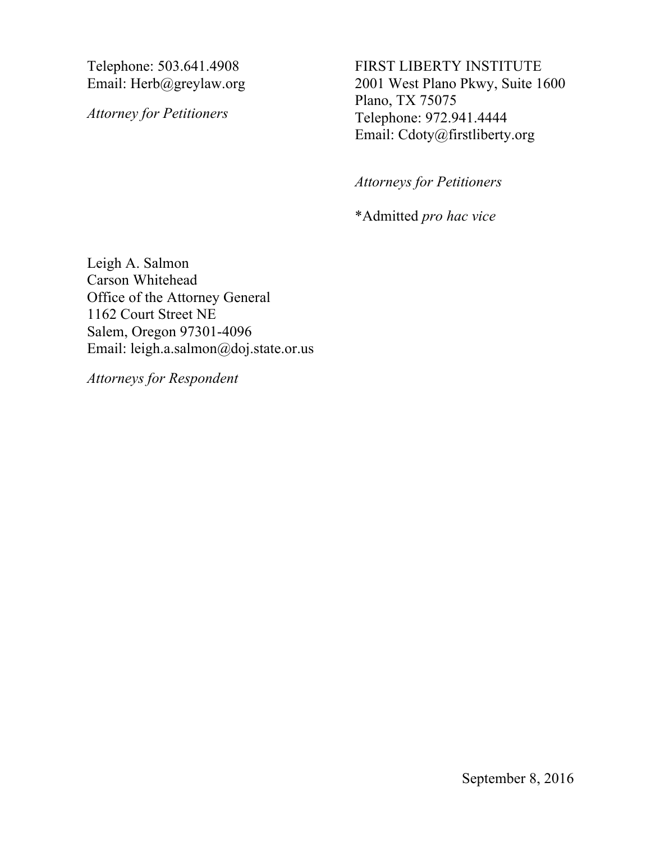Telephone: 503.641.4908 Email: Herb@greylaw.org

*Attorney for Petitioners*

FIRST LIBERTY INSTITUTE 2001 West Plano Pkwy, Suite 1600 Plano, TX 75075 Telephone: 972.941.4444 Email: Cdoty@firstliberty.org

*Attorneys for Petitioners*

\*Admitted *pro hac vice*

Leigh A. Salmon Carson Whitehead Office of the Attorney General 1162 Court Street NE Salem, Oregon 97301-4096 Email: leigh.a.salmon@doj.state.or.us

*Attorneys for Respondent*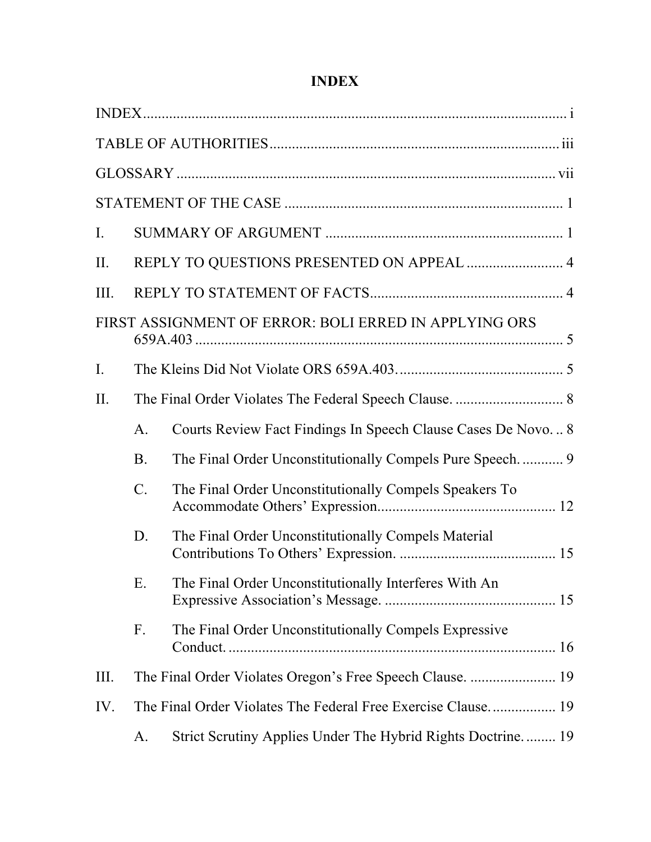# **INDEX**

| I.          |                |                                                              |  |
|-------------|----------------|--------------------------------------------------------------|--|
| II.         |                | REPLY TO QUESTIONS PRESENTED ON APPEAL  4                    |  |
| Ш.          |                |                                                              |  |
|             |                | FIRST ASSIGNMENT OF ERROR: BOLI ERRED IN APPLYING ORS        |  |
| $I_{\cdot}$ |                |                                                              |  |
| II.         |                |                                                              |  |
|             | $\mathbf{A}$ . | Courts Review Fact Findings In Speech Clause Cases De Novo 8 |  |
|             | <b>B</b> .     |                                                              |  |
|             | $C$ .          | The Final Order Unconstitutionally Compels Speakers To       |  |
|             | D.             | The Final Order Unconstitutionally Compels Material          |  |
|             | Ε.             | The Final Order Unconstitutionally Interferes With An        |  |
|             | F.             | The Final Order Unconstitutionally Compels Expressive        |  |
| Ш.          |                |                                                              |  |
| IV.         |                |                                                              |  |
|             | A.             | Strict Scrutiny Applies Under The Hybrid Rights Doctrine 19  |  |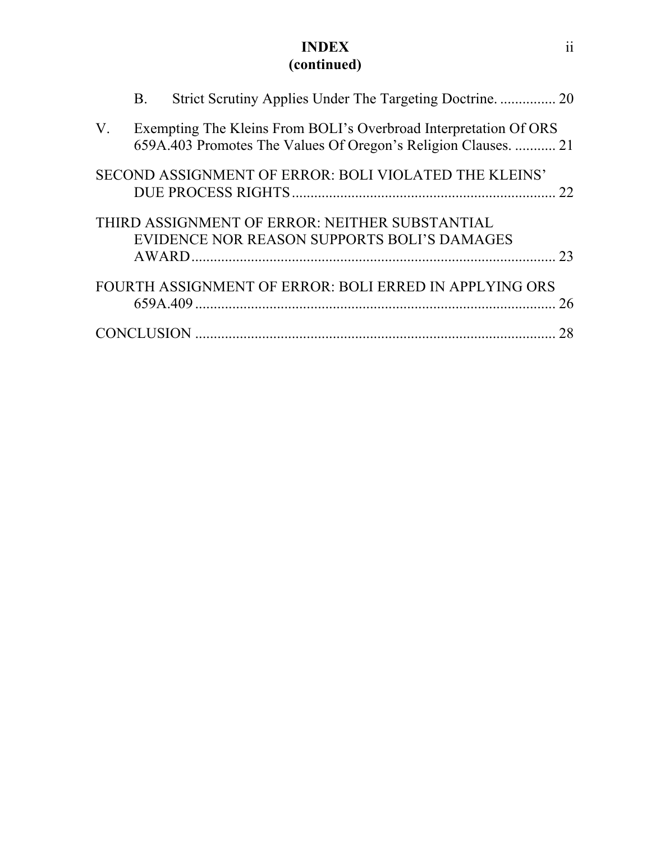### **INDEX (continued)**

|             | B. |                                                                                                                                    |    |
|-------------|----|------------------------------------------------------------------------------------------------------------------------------------|----|
| $V_{\cdot}$ |    | Exempting The Kleins From BOLI's Overbroad Interpretation Of ORS<br>659A.403 Promotes The Values Of Oregon's Religion Clauses.  21 |    |
|             |    | SECOND ASSIGNMENT OF ERROR: BOLI VIOLATED THE KLEINS'                                                                              |    |
|             |    | THIRD ASSIGNMENT OF ERROR: NEITHER SUBSTANTIAL<br>EVIDENCE NOR REASON SUPPORTS BOLI'S DAMAGES                                      |    |
|             |    | FOURTH ASSIGNMENT OF ERROR: BOLI ERRED IN APPLYING ORS                                                                             | 26 |
|             |    |                                                                                                                                    | 28 |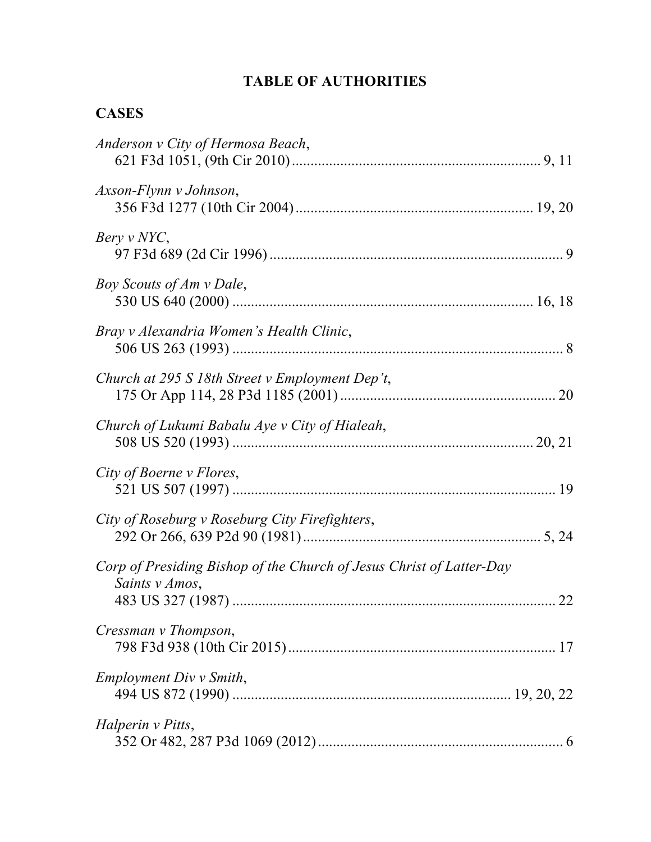# **TABLE OF AUTHORITIES**

# **CASES**

| Anderson v City of Hermosa Beach,                                                      |  |
|----------------------------------------------------------------------------------------|--|
| Axson-Flynn v Johnson,                                                                 |  |
| Bery v NYC,                                                                            |  |
| Boy Scouts of Am v Dale,                                                               |  |
| Bray v Alexandria Women's Health Clinic,                                               |  |
| Church at 295 S 18th Street v Employment Dep't,                                        |  |
| Church of Lukumi Babalu Aye v City of Hialeah,                                         |  |
| City of Boerne v Flores,                                                               |  |
| City of Roseburg v Roseburg City Firefighters,                                         |  |
| Corp of Presiding Bishop of the Church of Jesus Christ of Latter-Day<br>Saints v Amos, |  |
| Cressman v Thompson,                                                                   |  |
| Employment Div v Smith,                                                                |  |
| Halperin v Pitts,                                                                      |  |
|                                                                                        |  |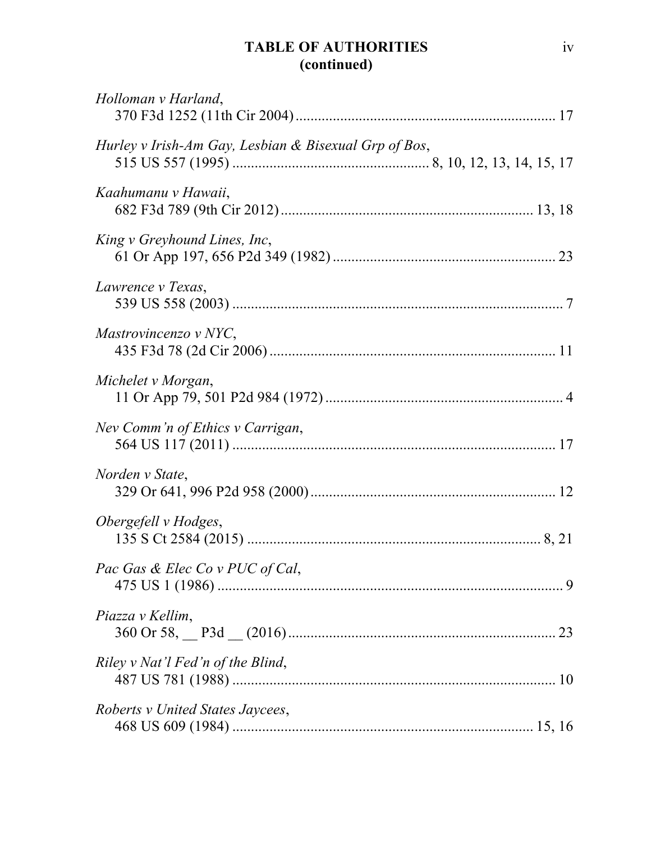# **TABLE OF AUTHORITIES (continued)**

| Holloman v Harland,                                   |  |
|-------------------------------------------------------|--|
| Hurley v Irish-Am Gay, Lesbian & Bisexual Grp of Bos, |  |
| Kaahumanu v Hawaii,                                   |  |
| King v Greyhound Lines, Inc,                          |  |
| Lawrence v Texas,                                     |  |
| Mastrovincenzo v NYC,                                 |  |
| Michelet v Morgan,                                    |  |
| Nev Comm'n of Ethics v Carrigan,                      |  |
| Norden v State,                                       |  |
| Obergefell v Hodges,                                  |  |
| Pac Gas & Elec Co v PUC of Cal,                       |  |
| Piazza v Kellim,                                      |  |
| Riley v Nat'l Fed'n of the Blind,                     |  |
| Roberts v United States Jaycees,                      |  |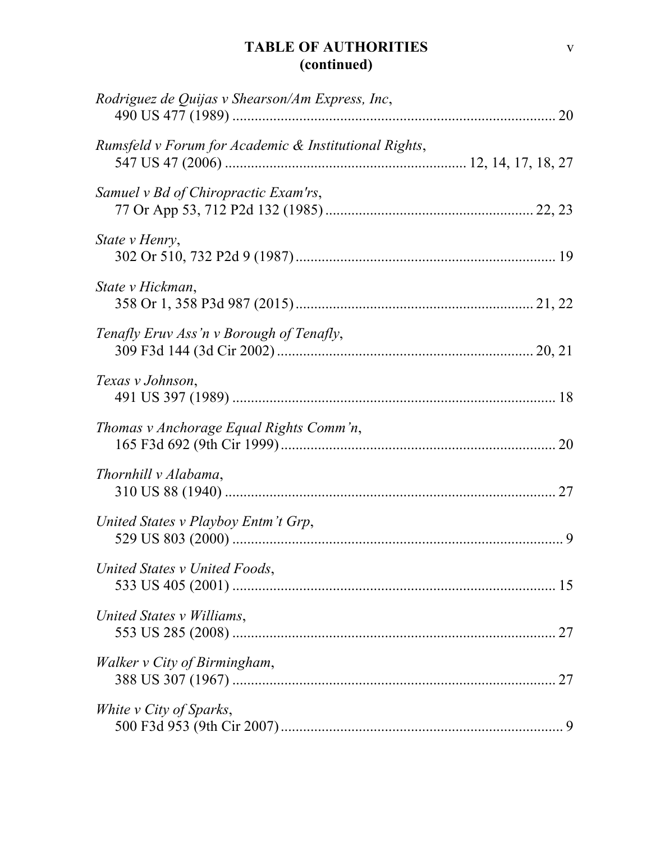# **TABLE OF AUTHORITIES (continued)**

| Rodriguez de Quijas v Shearson/Am Express, Inc,       |  |
|-------------------------------------------------------|--|
| Rumsfeld v Forum for Academic & Institutional Rights, |  |
| Samuel v Bd of Chiropractic Exam'rs,                  |  |
| State v Henry,                                        |  |
| State v Hickman,                                      |  |
| Tenafly Eruv Ass'n v Borough of Tenafly,              |  |
| Texas v Johnson,                                      |  |
| Thomas v Anchorage Equal Rights Comm'n,               |  |
| Thornhill v Alabama,                                  |  |
| United States v Playboy Entm't Grp,                   |  |
| United States v United Foods,                         |  |
| United States v Williams,                             |  |
| Walker v City of Birmingham,                          |  |
| White v City of Sparks,                               |  |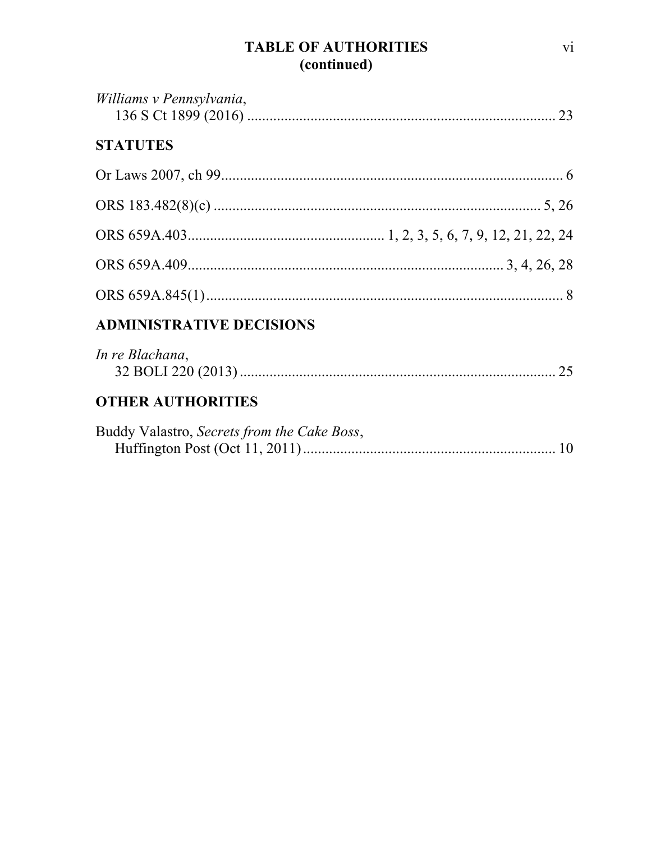# **TABLE OF AUTHORITIES** (continued)

| Williams v Pennsylvania,                    |  |
|---------------------------------------------|--|
| <b>STATUTES</b>                             |  |
|                                             |  |
|                                             |  |
|                                             |  |
|                                             |  |
|                                             |  |
| <b>ADMINISTRATIVE DECISIONS</b>             |  |
| In re Blachana,                             |  |
| <b>OTHER AUTHORITIES</b>                    |  |
| Buddy Valastro, Secrets from the Cake Boss, |  |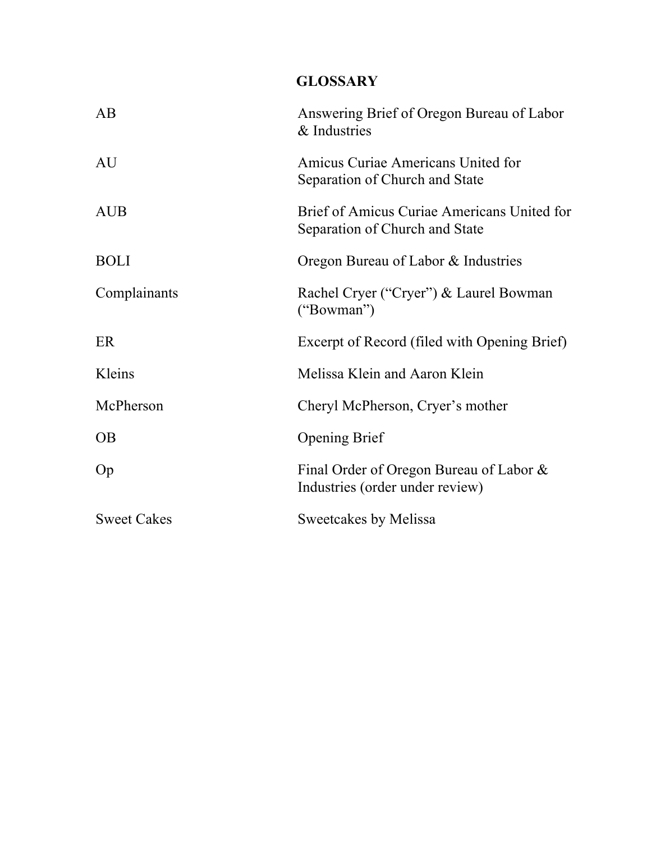# **GLOSSARY**

| AB                 | Answering Brief of Oregon Bureau of Labor<br>& Industries                     |
|--------------------|-------------------------------------------------------------------------------|
| AU                 | Amicus Curiae Americans United for<br>Separation of Church and State          |
| <b>AUB</b>         | Brief of Amicus Curiae Americans United for<br>Separation of Church and State |
| <b>BOLI</b>        | Oregon Bureau of Labor & Industries                                           |
| Complainants       | Rachel Cryer ("Cryer") & Laurel Bowman<br>("Bowman")                          |
| ER                 | Excerpt of Record (filed with Opening Brief)                                  |
| Kleins             | Melissa Klein and Aaron Klein                                                 |
| McPherson          | Cheryl McPherson, Cryer's mother                                              |
| <b>OB</b>          | <b>Opening Brief</b>                                                          |
| Op                 | Final Order of Oregon Bureau of Labor &<br>Industries (order under review)    |
| <b>Sweet Cakes</b> | Sweetcakes by Melissa                                                         |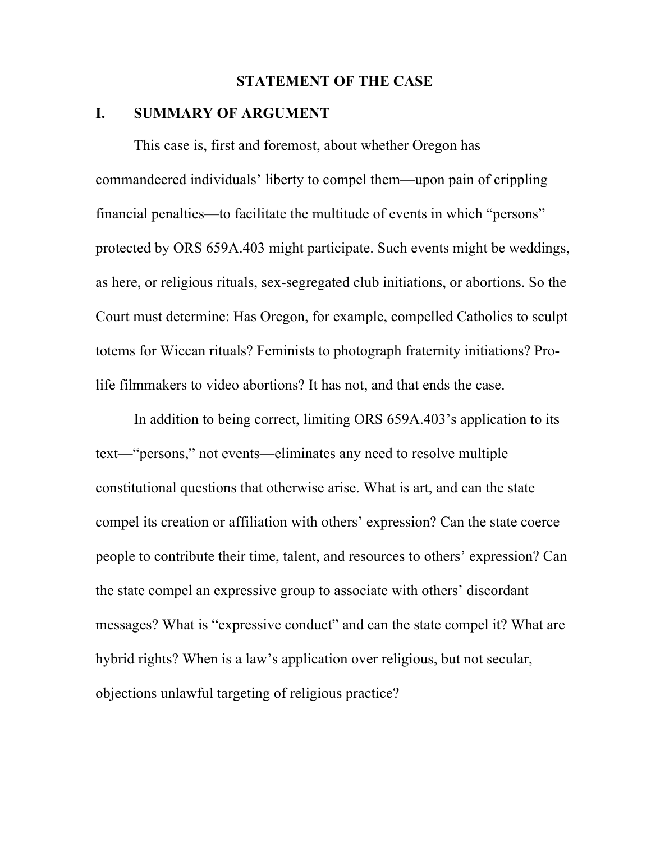#### **STATEMENT OF THE CASE**

#### **I. SUMMARY OF ARGUMENT**

This case is, first and foremost, about whether Oregon has commandeered individuals' liberty to compel them—upon pain of crippling financial penalties—to facilitate the multitude of events in which "persons" protected by ORS 659A.403 might participate. Such events might be weddings, as here, or religious rituals, sex-segregated club initiations, or abortions. So the Court must determine: Has Oregon, for example, compelled Catholics to sculpt totems for Wiccan rituals? Feminists to photograph fraternity initiations? Prolife filmmakers to video abortions? It has not, and that ends the case.

In addition to being correct, limiting ORS 659A.403's application to its text—"persons," not events—eliminates any need to resolve multiple constitutional questions that otherwise arise. What is art, and can the state compel its creation or affiliation with others' expression? Can the state coerce people to contribute their time, talent, and resources to others' expression? Can the state compel an expressive group to associate with others' discordant messages? What is "expressive conduct" and can the state compel it? What are hybrid rights? When is a law's application over religious, but not secular, objections unlawful targeting of religious practice?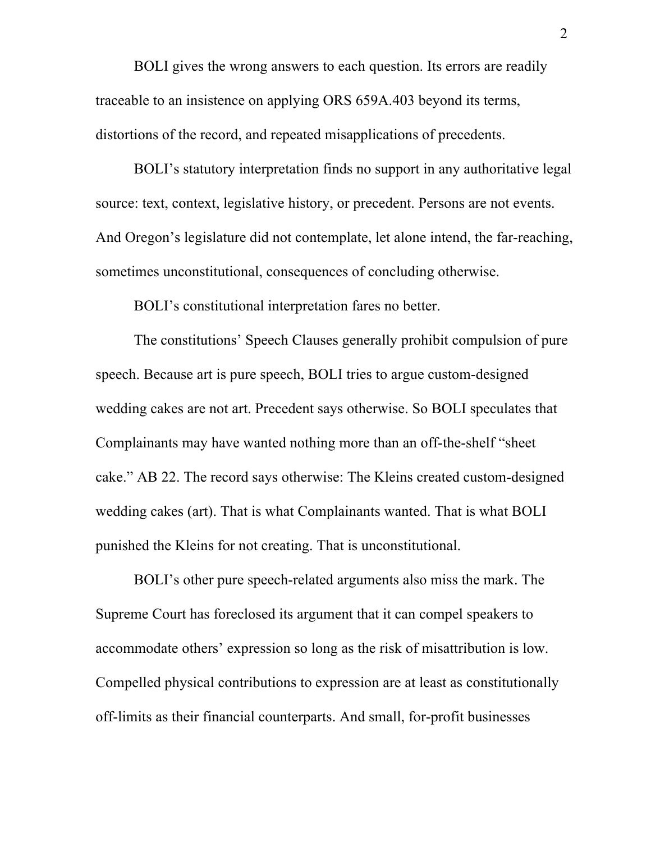BOLI gives the wrong answers to each question. Its errors are readily traceable to an insistence on applying ORS 659A.403 beyond its terms, distortions of the record, and repeated misapplications of precedents.

BOLI's statutory interpretation finds no support in any authoritative legal source: text, context, legislative history, or precedent. Persons are not events. And Oregon's legislature did not contemplate, let alone intend, the far-reaching, sometimes unconstitutional, consequences of concluding otherwise.

BOLI's constitutional interpretation fares no better.

The constitutions' Speech Clauses generally prohibit compulsion of pure speech. Because art is pure speech, BOLI tries to argue custom-designed wedding cakes are not art. Precedent says otherwise. So BOLI speculates that Complainants may have wanted nothing more than an off-the-shelf "sheet cake." AB 22. The record says otherwise: The Kleins created custom-designed wedding cakes (art). That is what Complainants wanted. That is what BOLI punished the Kleins for not creating. That is unconstitutional.

BOLI's other pure speech-related arguments also miss the mark. The Supreme Court has foreclosed its argument that it can compel speakers to accommodate others' expression so long as the risk of misattribution is low. Compelled physical contributions to expression are at least as constitutionally off-limits as their financial counterparts. And small, for-profit businesses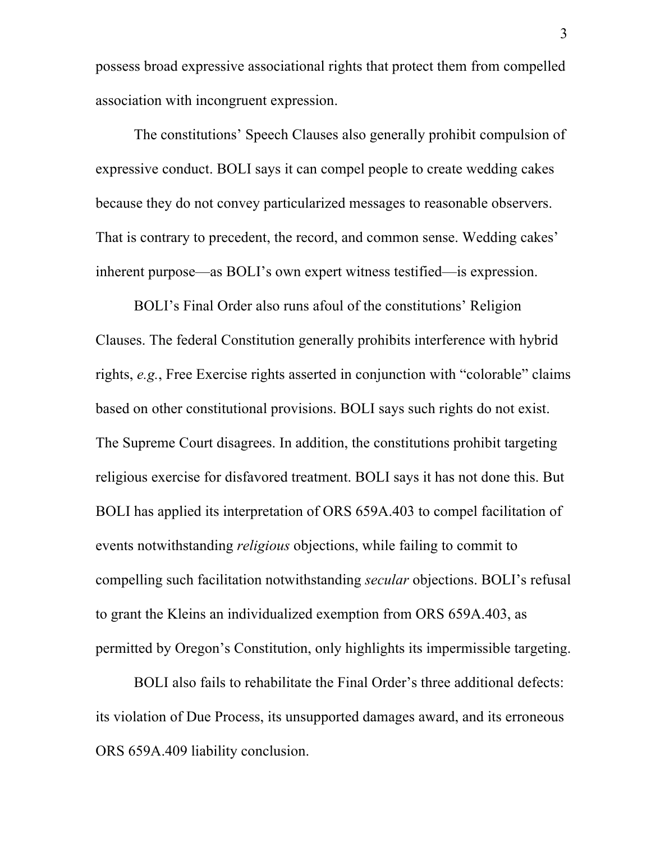possess broad expressive associational rights that protect them from compelled association with incongruent expression.

The constitutions' Speech Clauses also generally prohibit compulsion of expressive conduct. BOLI says it can compel people to create wedding cakes because they do not convey particularized messages to reasonable observers. That is contrary to precedent, the record, and common sense. Wedding cakes' inherent purpose—as BOLI's own expert witness testified—is expression.

BOLI's Final Order also runs afoul of the constitutions' Religion Clauses. The federal Constitution generally prohibits interference with hybrid rights, *e.g.*, Free Exercise rights asserted in conjunction with "colorable" claims based on other constitutional provisions. BOLI says such rights do not exist. The Supreme Court disagrees. In addition, the constitutions prohibit targeting religious exercise for disfavored treatment. BOLI says it has not done this. But BOLI has applied its interpretation of ORS 659A.403 to compel facilitation of events notwithstanding *religious* objections, while failing to commit to compelling such facilitation notwithstanding *secular* objections. BOLI's refusal to grant the Kleins an individualized exemption from ORS 659A.403, as permitted by Oregon's Constitution, only highlights its impermissible targeting.

BOLI also fails to rehabilitate the Final Order's three additional defects: its violation of Due Process, its unsupported damages award, and its erroneous ORS 659A.409 liability conclusion.

3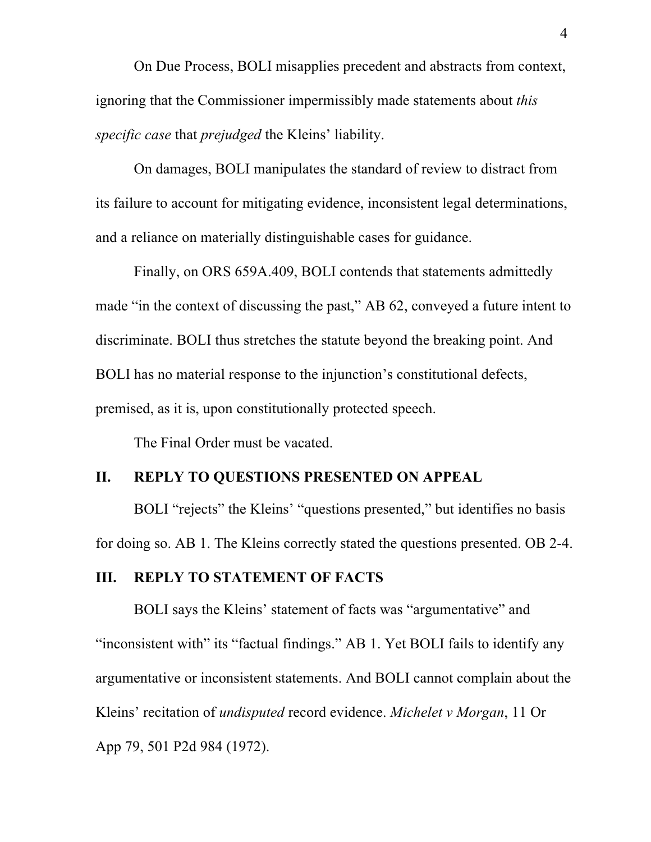On Due Process, BOLI misapplies precedent and abstracts from context, ignoring that the Commissioner impermissibly made statements about *this specific case* that *prejudged* the Kleins' liability.

On damages, BOLI manipulates the standard of review to distract from its failure to account for mitigating evidence, inconsistent legal determinations, and a reliance on materially distinguishable cases for guidance.

Finally, on ORS 659A.409, BOLI contends that statements admittedly made "in the context of discussing the past," AB 62, conveyed a future intent to discriminate. BOLI thus stretches the statute beyond the breaking point. And BOLI has no material response to the injunction's constitutional defects, premised, as it is, upon constitutionally protected speech.

The Final Order must be vacated.

## **II. REPLY TO QUESTIONS PRESENTED ON APPEAL**

BOLI "rejects" the Kleins' "questions presented," but identifies no basis for doing so. AB 1. The Kleins correctly stated the questions presented. OB 2-4.

#### **III. REPLY TO STATEMENT OF FACTS**

BOLI says the Kleins' statement of facts was "argumentative" and "inconsistent with" its "factual findings." AB 1. Yet BOLI fails to identify any argumentative or inconsistent statements. And BOLI cannot complain about the Kleins' recitation of *undisputed* record evidence. *Michelet v Morgan*, 11 Or App 79, 501 P2d 984 (1972).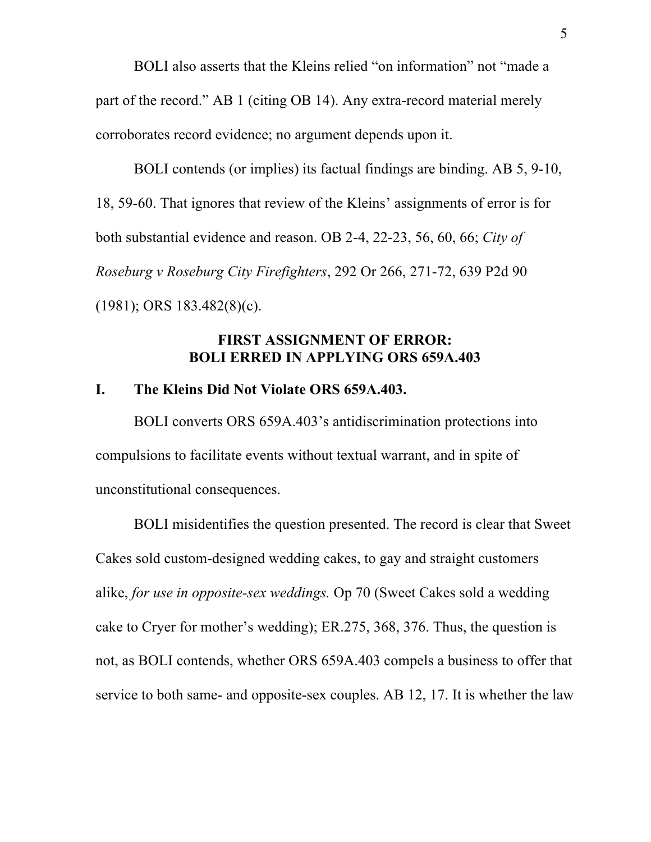BOLI also asserts that the Kleins relied "on information" not "made a part of the record." AB 1 (citing OB 14). Any extra-record material merely corroborates record evidence; no argument depends upon it.

BOLI contends (or implies) its factual findings are binding. AB 5, 9-10, 18, 59-60. That ignores that review of the Kleins' assignments of error is for both substantial evidence and reason. OB 2-4, 22-23, 56, 60, 66; *City of Roseburg v Roseburg City Firefighters*, 292 Or 266, 271-72, 639 P2d 90 (1981); ORS 183.482(8)(c).

### **FIRST ASSIGNMENT OF ERROR: BOLI ERRED IN APPLYING ORS 659A.403**

#### **I. The Kleins Did Not Violate ORS 659A.403.**

BOLI converts ORS 659A.403's antidiscrimination protections into compulsions to facilitate events without textual warrant, and in spite of unconstitutional consequences.

BOLI misidentifies the question presented. The record is clear that Sweet Cakes sold custom-designed wedding cakes, to gay and straight customers alike, *for use in opposite-sex weddings.* Op 70 (Sweet Cakes sold a wedding cake to Cryer for mother's wedding); ER.275, 368, 376. Thus, the question is not, as BOLI contends, whether ORS 659A.403 compels a business to offer that service to both same- and opposite-sex couples. AB 12, 17. It is whether the law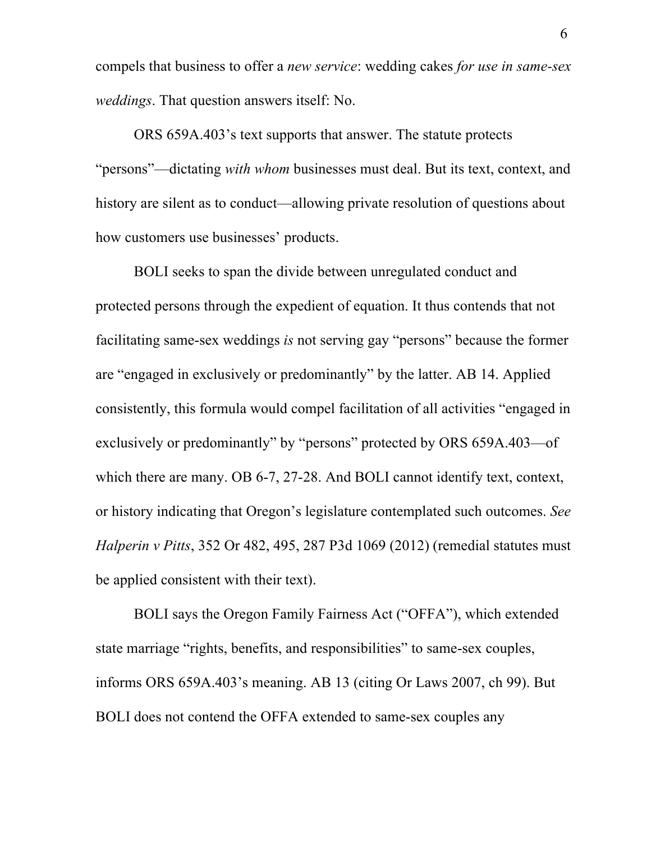compels that business to offer a *new service*: wedding cakes *for use in same-sex weddings*. That question answers itself: No.

ORS 659A.403's text supports that answer. The statute protects "persons"—dictating *with whom* businesses must deal. But its text, context, and history are silent as to conduct—allowing private resolution of questions about how customers use businesses' products.

BOLI seeks to span the divide between unregulated conduct and protected persons through the expedient of equation. It thus contends that not facilitating same-sex weddings *is* not serving gay "persons" because the former are "engaged in exclusively or predominantly" by the latter. AB 14. Applied consistently, this formula would compel facilitation of all activities "engaged in exclusively or predominantly" by "persons" protected by ORS 659A.403—of which there are many. OB 6-7, 27-28. And BOLI cannot identify text, context, or history indicating that Oregon's legislature contemplated such outcomes. *See Halperin v Pitts*, 352 Or 482, 495, 287 P3d 1069 (2012) (remedial statutes must be applied consistent with their text).

BOLI says the Oregon Family Fairness Act ("OFFA"), which extended state marriage "rights, benefits, and responsibilities" to same-sex couples, informs ORS 659A.403's meaning. AB 13 (citing Or Laws 2007, ch 99). But BOLI does not contend the OFFA extended to same-sex couples any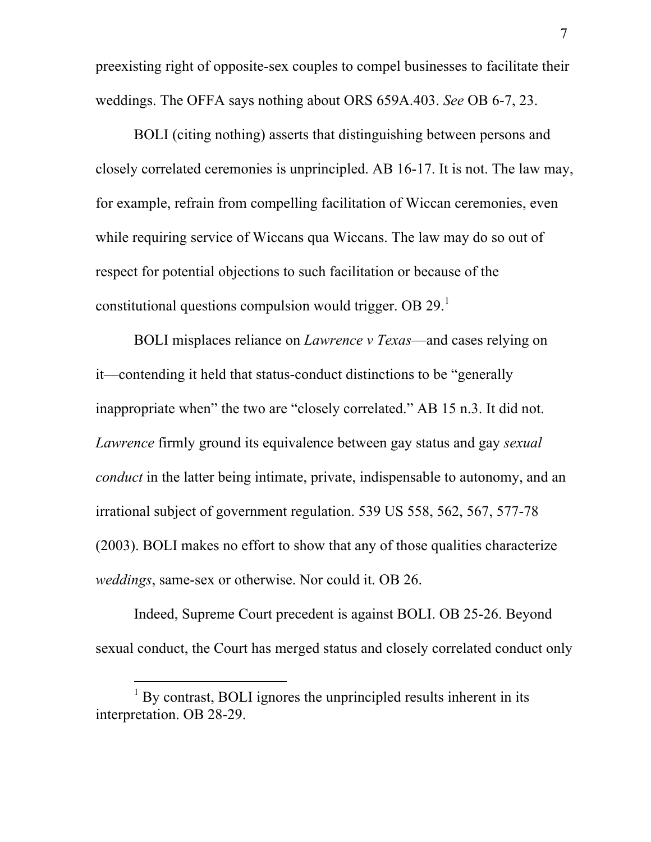preexisting right of opposite-sex couples to compel businesses to facilitate their weddings. The OFFA says nothing about ORS 659A.403. *See* OB 6-7, 23.

BOLI (citing nothing) asserts that distinguishing between persons and closely correlated ceremonies is unprincipled. AB 16-17. It is not. The law may, for example, refrain from compelling facilitation of Wiccan ceremonies, even while requiring service of Wiccans qua Wiccans. The law may do so out of respect for potential objections to such facilitation or because of the constitutional questions compulsion would trigger. OB  $29<sup>1</sup>$ 

BOLI misplaces reliance on *Lawrence v Texas*—and cases relying on it—contending it held that status-conduct distinctions to be "generally inappropriate when" the two are "closely correlated." AB 15 n.3. It did not. *Lawrence* firmly ground its equivalence between gay status and gay *sexual conduct* in the latter being intimate, private, indispensable to autonomy, and an irrational subject of government regulation. 539 US 558, 562, 567, 577-78 (2003). BOLI makes no effort to show that any of those qualities characterize *weddings*, same-sex or otherwise. Nor could it. OB 26.

Indeed, Supreme Court precedent is against BOLI. OB 25-26. Beyond sexual conduct, the Court has merged status and closely correlated conduct only

l

 $<sup>1</sup>$  By contrast, BOLI ignores the unprincipled results inherent in its</sup> interpretation. OB 28-29.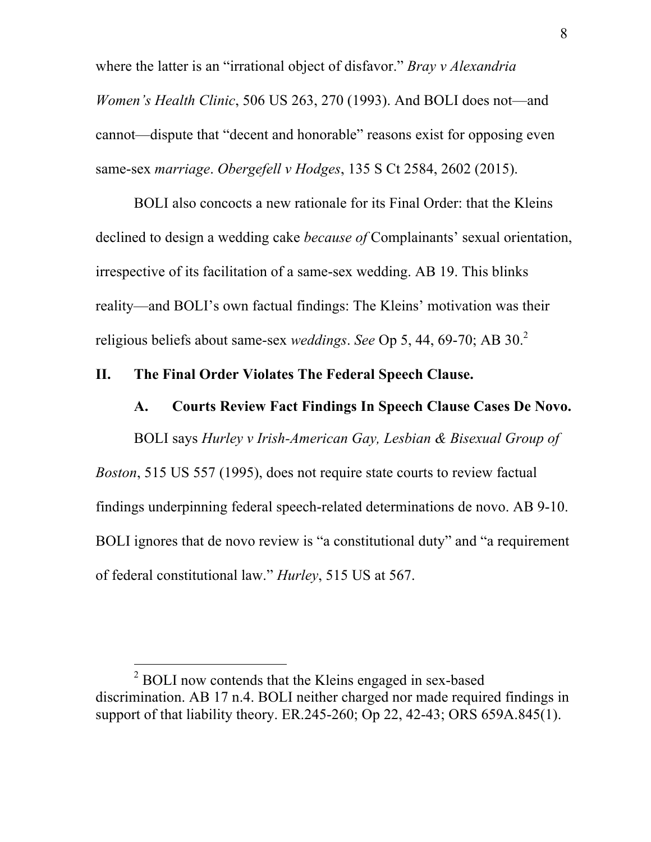where the latter is an "irrational object of disfavor." *Bray v Alexandria Women's Health Clinic*, 506 US 263, 270 (1993). And BOLI does not—and cannot—dispute that "decent and honorable" reasons exist for opposing even same-sex *marriage*. *Obergefell v Hodges*, 135 S Ct 2584, 2602 (2015).

BOLI also concocts a new rationale for its Final Order: that the Kleins declined to design a wedding cake *because of* Complainants' sexual orientation, irrespective of its facilitation of a same-sex wedding. AB 19. This blinks reality—and BOLI's own factual findings: The Kleins' motivation was their religious beliefs about same-sex *weddings*. *See* Op 5, 44, 69-70; AB 30. 2

#### **II. The Final Order Violates The Federal Speech Clause.**

## **A. Courts Review Fact Findings In Speech Clause Cases De Novo.**

BOLI says *Hurley v Irish-American Gay, Lesbian & Bisexual Group of* 

*Boston*, 515 US 557 (1995), does not require state courts to review factual findings underpinning federal speech-related determinations de novo. AB 9-10. BOLI ignores that de novo review is "a constitutional duty" and "a requirement of federal constitutional law." *Hurley*, 515 US at 567.

<sup>2</sup> BOLI now contends that the Kleins engaged in sex-based discrimination. AB 17 n.4. BOLI neither charged nor made required findings in support of that liability theory. ER.245-260; Op 22, 42-43; ORS 659A.845(1).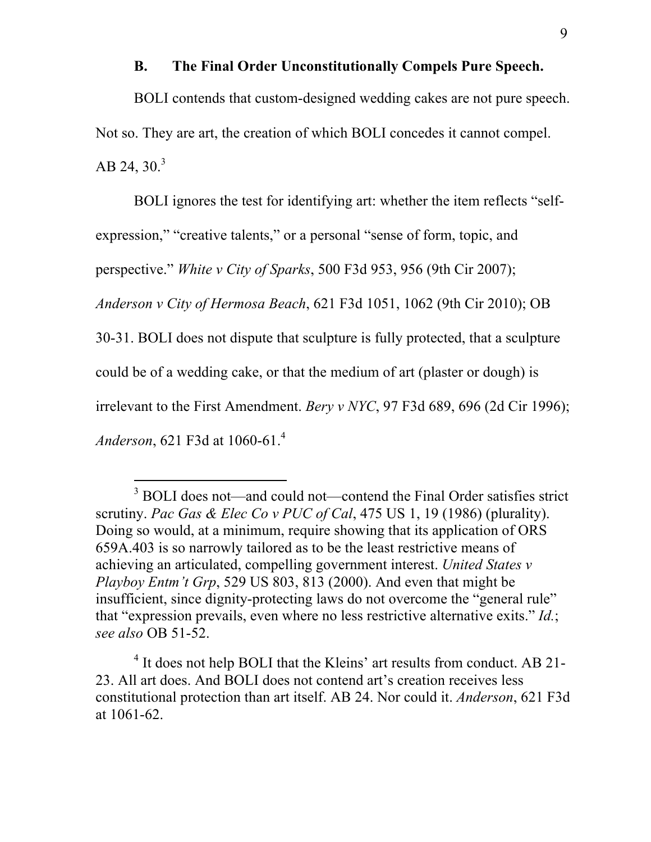#### **B. The Final Order Unconstitutionally Compels Pure Speech.**

BOLI contends that custom-designed wedding cakes are not pure speech. Not so. They are art, the creation of which BOLI concedes it cannot compel. AB 24, 30. $3$ 

BOLI ignores the test for identifying art: whether the item reflects "self-

expression," "creative talents," or a personal "sense of form, topic, and

perspective." *White v City of Sparks*, 500 F3d 953, 956 (9th Cir 2007);

*Anderson v City of Hermosa Beach*, 621 F3d 1051, 1062 (9th Cir 2010); OB

30-31. BOLI does not dispute that sculpture is fully protected, that a sculpture

could be of a wedding cake, or that the medium of art (plaster or dough) is

irrelevant to the First Amendment. *Bery v NYC*, 97 F3d 689, 696 (2d Cir 1996);

*Anderson*, 621 F3d at 1060-61. 4

 $\overline{a}$ 

<sup>4</sup> It does not help BOLI that the Kleins' art results from conduct. AB 21- 23. All art does. And BOLI does not contend art's creation receives less constitutional protection than art itself. AB 24. Nor could it. *Anderson*, 621 F3d at 1061-62.

<sup>&</sup>lt;sup>3</sup> BOLI does not—and could not—contend the Final Order satisfies strict scrutiny. *Pac Gas & Elec Co v PUC of Cal*, 475 US 1, 19 (1986) (plurality). Doing so would, at a minimum, require showing that its application of ORS 659A.403 is so narrowly tailored as to be the least restrictive means of achieving an articulated, compelling government interest. *United States v Playboy Entm't Grp*, 529 US 803, 813 (2000). And even that might be insufficient, since dignity-protecting laws do not overcome the "general rule" that "expression prevails, even where no less restrictive alternative exits." *Id.*; *see also* OB 51-52.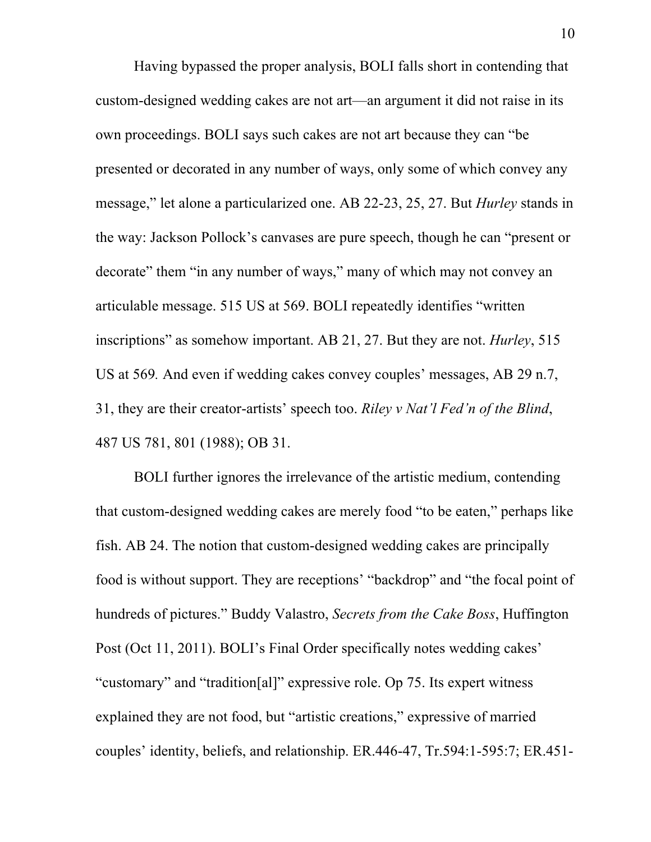Having bypassed the proper analysis, BOLI falls short in contending that custom-designed wedding cakes are not art—an argument it did not raise in its own proceedings. BOLI says such cakes are not art because they can "be presented or decorated in any number of ways, only some of which convey any message," let alone a particularized one. AB 22-23, 25, 27. But *Hurley* stands in the way: Jackson Pollock's canvases are pure speech, though he can "present or decorate" them "in any number of ways," many of which may not convey an articulable message. 515 US at 569. BOLI repeatedly identifies "written inscriptions" as somehow important. AB 21, 27. But they are not. *Hurley*, 515 US at 569*.* And even if wedding cakes convey couples' messages, AB 29 n.7, 31, they are their creator-artists' speech too. *Riley v Nat'l Fed'n of the Blind*, 487 US 781, 801 (1988); OB 31.

BOLI further ignores the irrelevance of the artistic medium, contending that custom-designed wedding cakes are merely food "to be eaten," perhaps like fish. AB 24. The notion that custom-designed wedding cakes are principally food is without support. They are receptions' "backdrop" and "the focal point of hundreds of pictures." Buddy Valastro, *Secrets from the Cake Boss*, Huffington Post (Oct 11, 2011). BOLI's Final Order specifically notes wedding cakes' "customary" and "tradition[al]" expressive role. Op 75. Its expert witness explained they are not food, but "artistic creations," expressive of married couples' identity, beliefs, and relationship. ER.446-47, Tr.594:1-595:7; ER.451-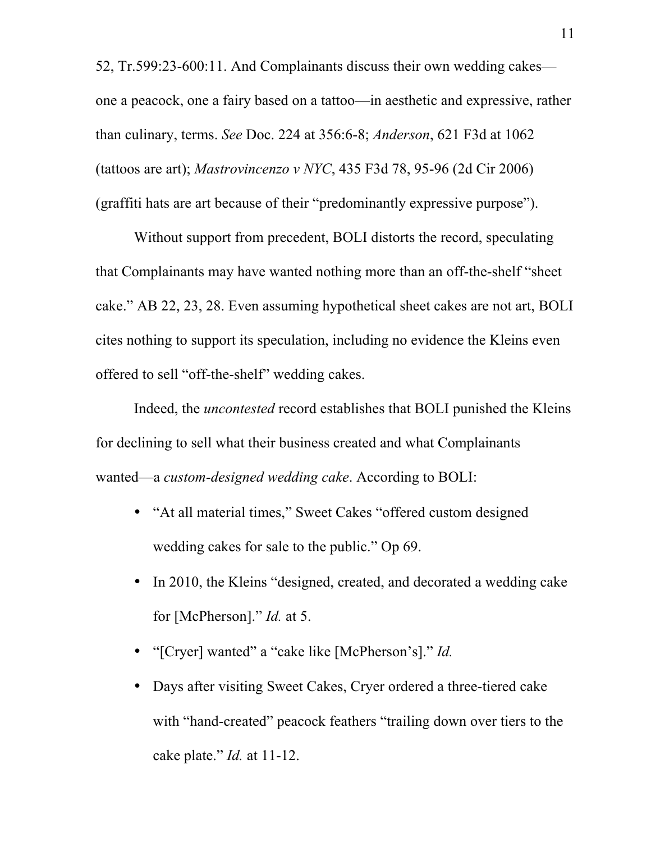52, Tr.599:23-600:11. And Complainants discuss their own wedding cakes one a peacock, one a fairy based on a tattoo—in aesthetic and expressive, rather than culinary, terms. *See* Doc. 224 at 356:6-8; *Anderson*, 621 F3d at 1062 (tattoos are art); *Mastrovincenzo v NYC*, 435 F3d 78, 95-96 (2d Cir 2006) (graffiti hats are art because of their "predominantly expressive purpose").

Without support from precedent, BOLI distorts the record, speculating that Complainants may have wanted nothing more than an off-the-shelf "sheet cake." AB 22, 23, 28. Even assuming hypothetical sheet cakes are not art, BOLI cites nothing to support its speculation, including no evidence the Kleins even offered to sell "off-the-shelf" wedding cakes.

Indeed, the *uncontested* record establishes that BOLI punished the Kleins for declining to sell what their business created and what Complainants wanted—a *custom-designed wedding cake*. According to BOLI:

- "At all material times," Sweet Cakes "offered custom designed wedding cakes for sale to the public." Op 69.
- In 2010, the Kleins "designed, created, and decorated a wedding cake for [McPherson]." *Id.* at 5.
- "[Cryer] wanted" a "cake like [McPherson's]." *Id.*
- Days after visiting Sweet Cakes, Cryer ordered a three-tiered cake with "hand-created" peacock feathers "trailing down over tiers to the cake plate." *Id.* at 11-12.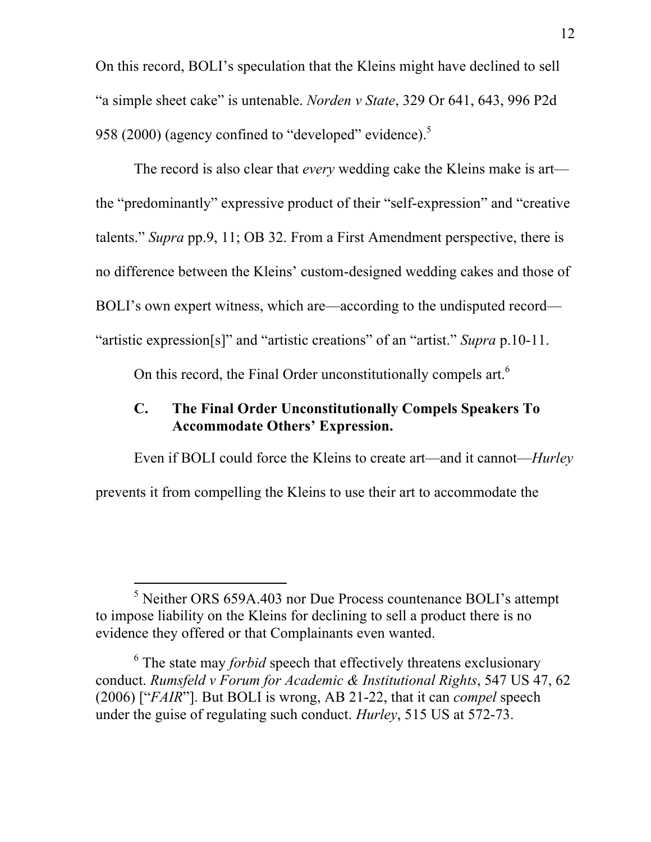On this record, BOLI's speculation that the Kleins might have declined to sell "a simple sheet cake" is untenable. *Norden v State*, 329 Or 641, 643, 996 P2d 958 (2000) (agency confined to "developed" evidence).<sup>5</sup>

The record is also clear that *every* wedding cake the Kleins make is art the "predominantly" expressive product of their "self-expression" and "creative talents." *Supra* pp.9, 11; OB 32. From a First Amendment perspective, there is no difference between the Kleins' custom-designed wedding cakes and those of BOLI's own expert witness, which are—according to the undisputed record— "artistic expression[s]" and "artistic creations" of an "artist." *Supra* p.10-11.

On this record, the Final Order unconstitutionally compels art.<sup>6</sup>

# **C. The Final Order Unconstitutionally Compels Speakers To Accommodate Others' Expression.**

Even if BOLI could force the Kleins to create art—and it cannot—*Hurley*

prevents it from compelling the Kleins to use their art to accommodate the

 $<sup>5</sup>$  Neither ORS 659A.403 nor Due Process countenance BOLI's attempt</sup> to impose liability on the Kleins for declining to sell a product there is no evidence they offered or that Complainants even wanted.

<sup>&</sup>lt;sup>6</sup> The state may *forbid* speech that effectively threatens exclusionary conduct. *Rumsfeld v Forum for Academic & Institutional Rights*, 547 US 47, 62 (2006) ["*FAIR*"]. But BOLI is wrong, AB 21-22, that it can *compel* speech under the guise of regulating such conduct. *Hurley*, 515 US at 572-73.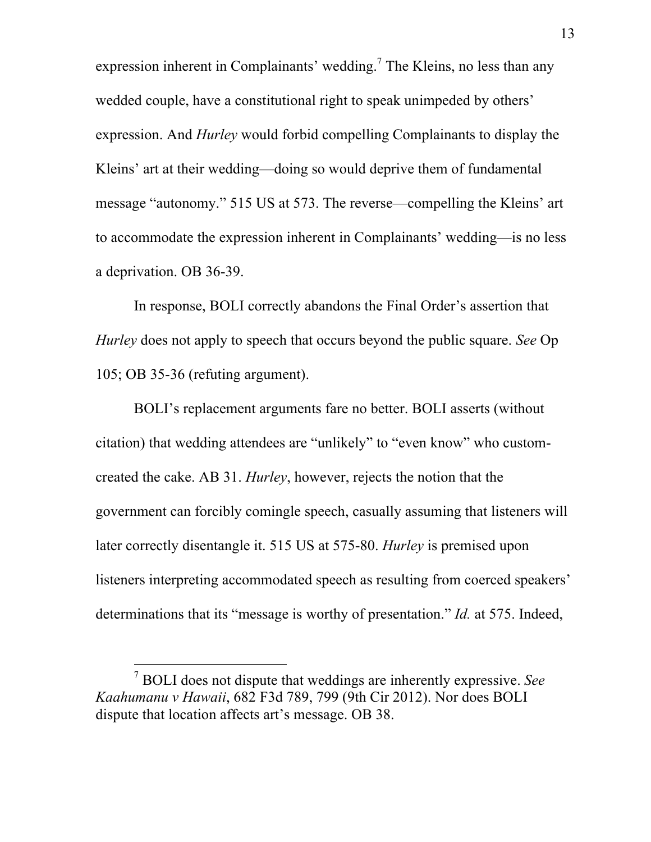expression inherent in Complainants' wedding.<sup>7</sup> The Kleins, no less than any wedded couple, have a constitutional right to speak unimpeded by others' expression. And *Hurley* would forbid compelling Complainants to display the Kleins' art at their wedding—doing so would deprive them of fundamental message "autonomy." 515 US at 573. The reverse—compelling the Kleins' art to accommodate the expression inherent in Complainants' wedding—is no less a deprivation. OB 36-39.

In response, BOLI correctly abandons the Final Order's assertion that *Hurley* does not apply to speech that occurs beyond the public square. *See* Op 105; OB 35-36 (refuting argument).

BOLI's replacement arguments fare no better. BOLI asserts (without citation) that wedding attendees are "unlikely" to "even know" who customcreated the cake. AB 31. *Hurley*, however, rejects the notion that the government can forcibly comingle speech, casually assuming that listeners will later correctly disentangle it. 515 US at 575-80. *Hurley* is premised upon listeners interpreting accommodated speech as resulting from coerced speakers' determinations that its "message is worthy of presentation." *Id.* at 575. Indeed,

<sup>7</sup> BOLI does not dispute that weddings are inherently expressive. *See Kaahumanu v Hawaii*, 682 F3d 789, 799 (9th Cir 2012). Nor does BOLI dispute that location affects art's message. OB 38.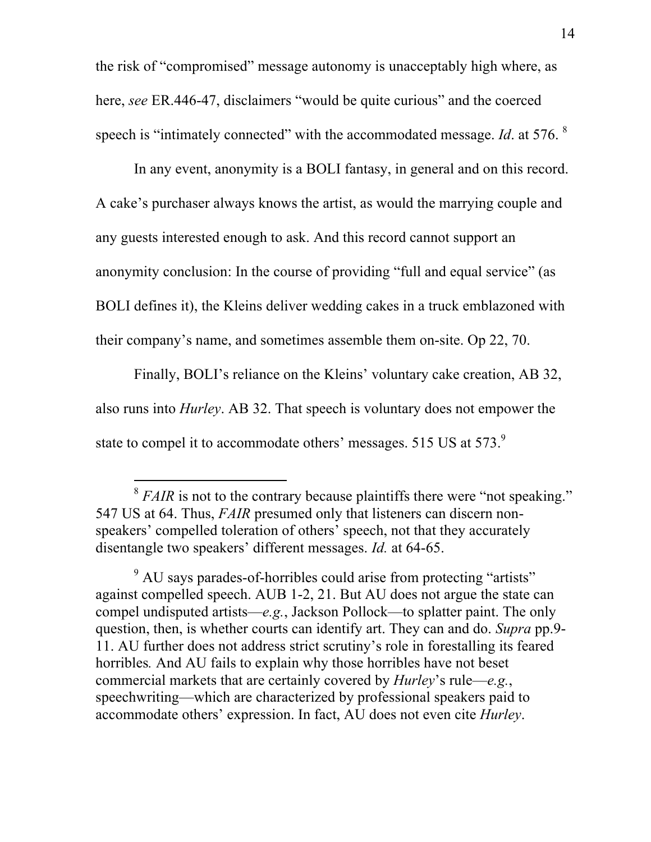the risk of "compromised" message autonomy is unacceptably high where, as here, *see* ER.446-47, disclaimers "would be quite curious" and the coerced speech is "intimately connected" with the accommodated message. *Id*. at 576. <sup>8</sup>

In any event, anonymity is a BOLI fantasy, in general and on this record. A cake's purchaser always knows the artist, as would the marrying couple and any guests interested enough to ask. And this record cannot support an anonymity conclusion: In the course of providing "full and equal service" (as BOLI defines it), the Kleins deliver wedding cakes in a truck emblazoned with their company's name, and sometimes assemble them on-site. Op 22, 70.

Finally, BOLI's reliance on the Kleins' voluntary cake creation, AB 32, also runs into *Hurley*. AB 32. That speech is voluntary does not empower the state to compel it to accommodate others' messages. 515 US at 573.<sup>9</sup>

<sup>&</sup>lt;sup>8</sup> *FAIR* is not to the contrary because plaintiffs there were "not speaking." 547 US at 64. Thus, *FAIR* presumed only that listeners can discern nonspeakers' compelled toleration of others' speech, not that they accurately disentangle two speakers' different messages. *Id.* at 64-65.

<sup>&</sup>lt;sup>9</sup> AU says parades-of-horribles could arise from protecting "artists" against compelled speech. AUB 1-2, 21. But AU does not argue the state can compel undisputed artists—*e.g.*, Jackson Pollock—to splatter paint. The only question, then, is whether courts can identify art. They can and do. *Supra* pp.9- 11. AU further does not address strict scrutiny's role in forestalling its feared horribles*.* And AU fails to explain why those horribles have not beset commercial markets that are certainly covered by *Hurley*'s rule—*e.g.*, speechwriting—which are characterized by professional speakers paid to accommodate others' expression. In fact, AU does not even cite *Hurley*.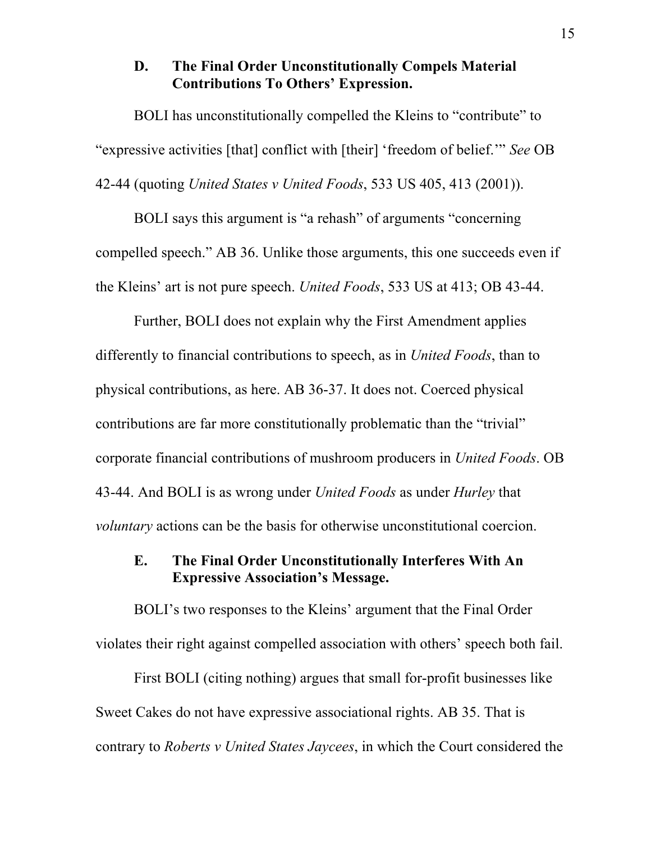## **D. The Final Order Unconstitutionally Compels Material Contributions To Others' Expression.**

BOLI has unconstitutionally compelled the Kleins to "contribute" to "expressive activities [that] conflict with [their] 'freedom of belief.'" *See* OB 42-44 (quoting *United States v United Foods*, 533 US 405, 413 (2001)).

BOLI says this argument is "a rehash" of arguments "concerning compelled speech." AB 36. Unlike those arguments, this one succeeds even if the Kleins' art is not pure speech. *United Foods*, 533 US at 413; OB 43-44.

Further, BOLI does not explain why the First Amendment applies differently to financial contributions to speech, as in *United Foods*, than to physical contributions, as here. AB 36-37. It does not. Coerced physical contributions are far more constitutionally problematic than the "trivial" corporate financial contributions of mushroom producers in *United Foods*. OB 43-44. And BOLI is as wrong under *United Foods* as under *Hurley* that *voluntary* actions can be the basis for otherwise unconstitutional coercion.

# **E. The Final Order Unconstitutionally Interferes With An Expressive Association's Message.**

BOLI's two responses to the Kleins' argument that the Final Order violates their right against compelled association with others' speech both fail.

First BOLI (citing nothing) argues that small for-profit businesses like Sweet Cakes do not have expressive associational rights. AB 35. That is contrary to *Roberts v United States Jaycees*, in which the Court considered the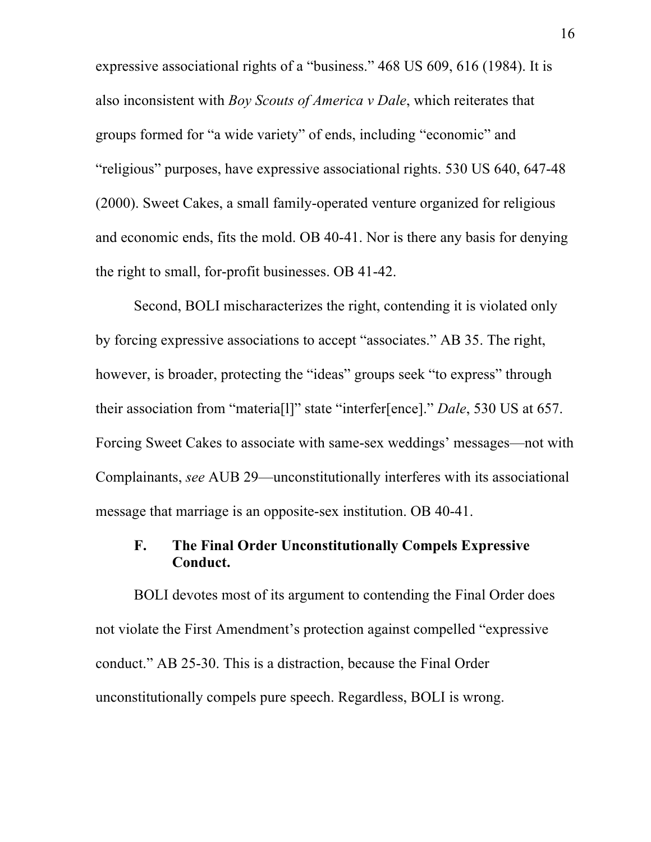expressive associational rights of a "business." 468 US 609, 616 (1984). It is also inconsistent with *Boy Scouts of America v Dale*, which reiterates that groups formed for "a wide variety" of ends, including "economic" and "religious" purposes, have expressive associational rights. 530 US 640, 647-48 (2000). Sweet Cakes, a small family-operated venture organized for religious and economic ends, fits the mold. OB 40-41. Nor is there any basis for denying the right to small, for-profit businesses. OB 41-42.

Second, BOLI mischaracterizes the right, contending it is violated only by forcing expressive associations to accept "associates." AB 35. The right, however, is broader, protecting the "ideas" groups seek "to express" through their association from "materia[l]" state "interfer[ence]." *Dale*, 530 US at 657. Forcing Sweet Cakes to associate with same-sex weddings' messages—not with Complainants, *see* AUB 29—unconstitutionally interferes with its associational message that marriage is an opposite-sex institution. OB 40-41.

## **F. The Final Order Unconstitutionally Compels Expressive Conduct.**

BOLI devotes most of its argument to contending the Final Order does not violate the First Amendment's protection against compelled "expressive conduct." AB 25-30. This is a distraction, because the Final Order unconstitutionally compels pure speech. Regardless, BOLI is wrong.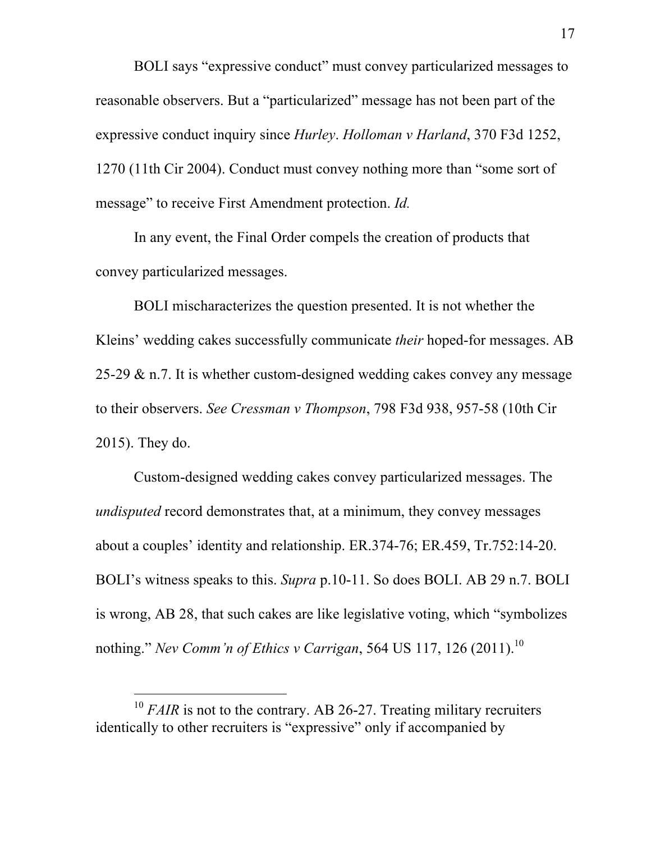BOLI says "expressive conduct" must convey particularized messages to reasonable observers. But a "particularized" message has not been part of the expressive conduct inquiry since *Hurley*. *Holloman v Harland*, 370 F3d 1252, 1270 (11th Cir 2004). Conduct must convey nothing more than "some sort of message" to receive First Amendment protection. *Id.*

In any event, the Final Order compels the creation of products that convey particularized messages.

BOLI mischaracterizes the question presented. It is not whether the Kleins' wedding cakes successfully communicate *their* hoped-for messages. AB 25-29  $\&$  n.7. It is whether custom-designed wedding cakes convey any message to their observers. *See Cressman v Thompson*, 798 F3d 938, 957-58 (10th Cir 2015). They do.

Custom-designed wedding cakes convey particularized messages. The *undisputed* record demonstrates that, at a minimum, they convey messages about a couples' identity and relationship. ER.374-76; ER.459, Tr.752:14-20. BOLI's witness speaks to this. *Supra* p.10-11. So does BOLI. AB 29 n.7. BOLI is wrong, AB 28, that such cakes are like legislative voting, which "symbolizes nothing." *Nev Comm'n of Ethics v Carrigan*, 564 US 117, 126 (2011). 10

l

 $10$  *FAIR* is not to the contrary. AB 26-27. Treating military recruiters identically to other recruiters is "expressive" only if accompanied by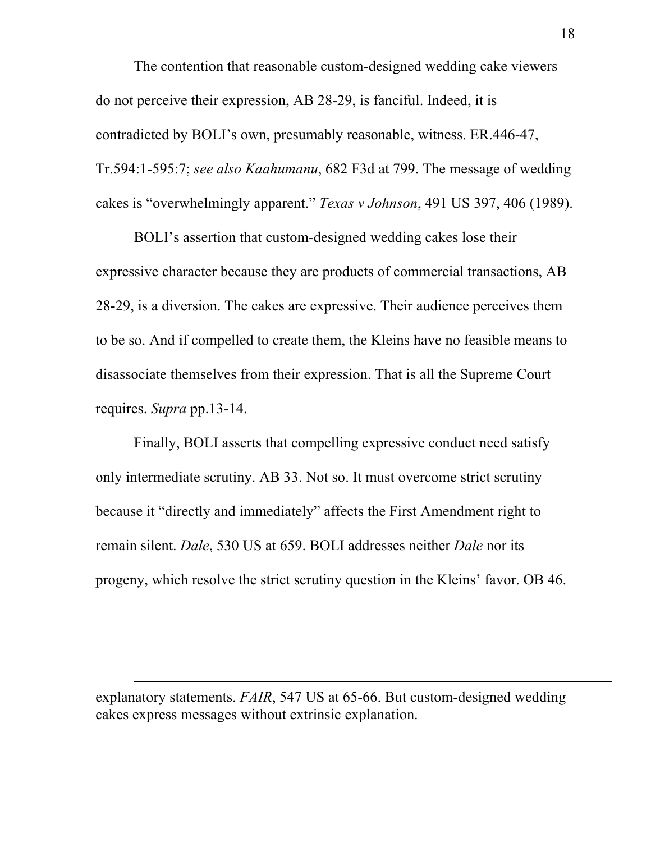The contention that reasonable custom-designed wedding cake viewers do not perceive their expression, AB 28-29, is fanciful. Indeed, it is contradicted by BOLI's own, presumably reasonable, witness. ER.446-47, Tr.594:1-595:7; *see also Kaahumanu*, 682 F3d at 799. The message of wedding cakes is "overwhelmingly apparent." *Texas v Johnson*, 491 US 397, 406 (1989).

BOLI's assertion that custom-designed wedding cakes lose their expressive character because they are products of commercial transactions, AB 28-29, is a diversion. The cakes are expressive. Their audience perceives them to be so. And if compelled to create them, the Kleins have no feasible means to disassociate themselves from their expression. That is all the Supreme Court requires. *Supra* pp.13-14.

Finally, BOLI asserts that compelling expressive conduct need satisfy only intermediate scrutiny. AB 33. Not so. It must overcome strict scrutiny because it "directly and immediately" affects the First Amendment right to remain silent. *Dale*, 530 US at 659. BOLI addresses neither *Dale* nor its progeny, which resolve the strict scrutiny question in the Kleins' favor. OB 46.

explanatory statements. *FAIR*, 547 US at 65-66. But custom-designed wedding cakes express messages without extrinsic explanation.

l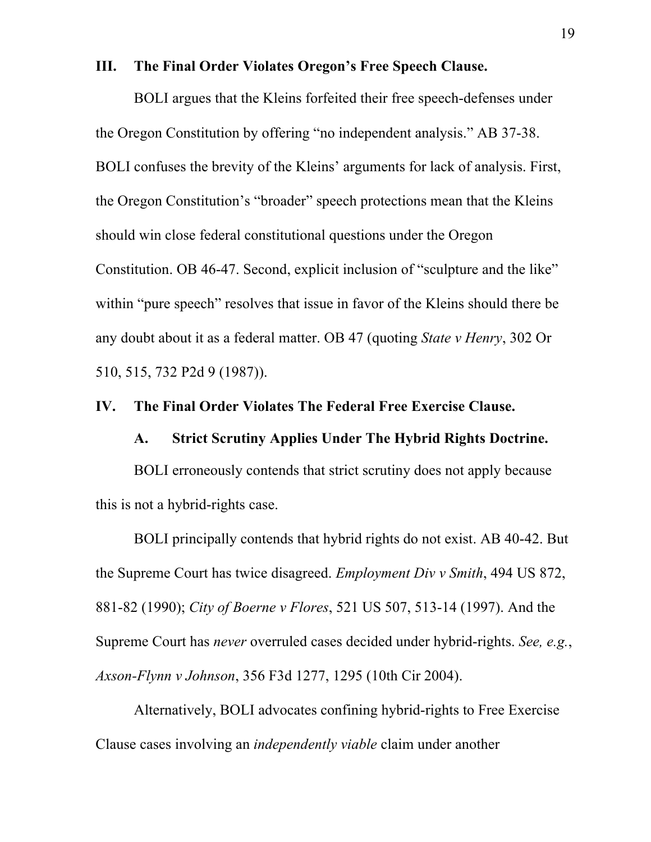#### **III. The Final Order Violates Oregon's Free Speech Clause.**

BOLI argues that the Kleins forfeited their free speech-defenses under the Oregon Constitution by offering "no independent analysis." AB 37-38. BOLI confuses the brevity of the Kleins' arguments for lack of analysis. First, the Oregon Constitution's "broader" speech protections mean that the Kleins should win close federal constitutional questions under the Oregon Constitution. OB 46-47. Second, explicit inclusion of "sculpture and the like" within "pure speech" resolves that issue in favor of the Kleins should there be any doubt about it as a federal matter. OB 47 (quoting *State v Henry*, 302 Or 510, 515, 732 P2d 9 (1987)).

### **IV. The Final Order Violates The Federal Free Exercise Clause.**

#### **A. Strict Scrutiny Applies Under The Hybrid Rights Doctrine.**

BOLI erroneously contends that strict scrutiny does not apply because this is not a hybrid-rights case.

BOLI principally contends that hybrid rights do not exist. AB 40-42. But the Supreme Court has twice disagreed. *Employment Div v Smith*, 494 US 872, 881-82 (1990); *City of Boerne v Flores*, 521 US 507, 513-14 (1997). And the Supreme Court has *never* overruled cases decided under hybrid-rights. *See, e.g.*, *Axson-Flynn v Johnson*, 356 F3d 1277, 1295 (10th Cir 2004).

Alternatively, BOLI advocates confining hybrid-rights to Free Exercise Clause cases involving an *independently viable* claim under another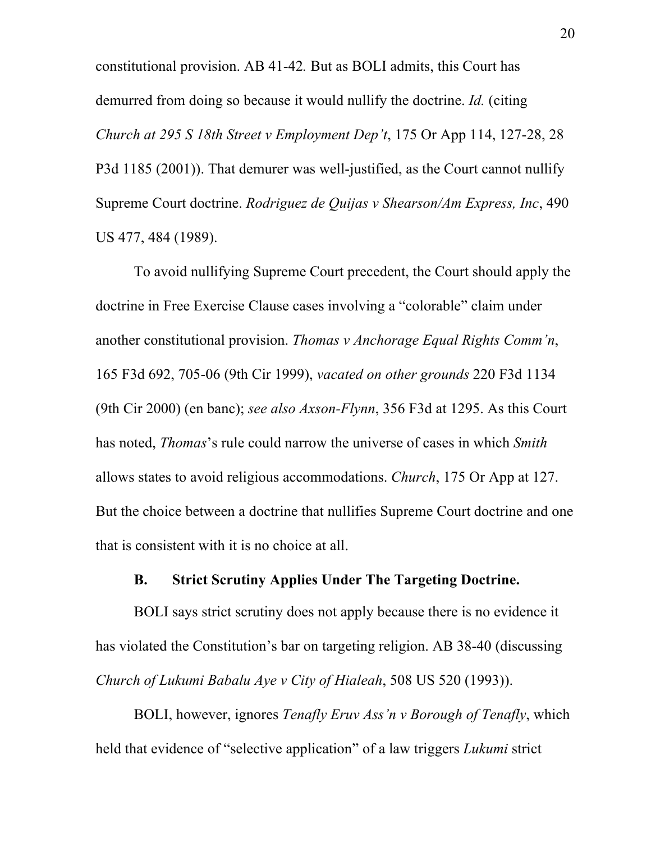constitutional provision. AB 41-42*.* But as BOLI admits, this Court has demurred from doing so because it would nullify the doctrine. *Id.* (citing *Church at 295 S 18th Street v Employment Dep't*, 175 Or App 114, 127-28, 28 P3d 1185 (2001)). That demurer was well-justified, as the Court cannot nullify Supreme Court doctrine. *Rodriguez de Quijas v Shearson/Am Express, Inc*, 490 US 477, 484 (1989).

To avoid nullifying Supreme Court precedent, the Court should apply the doctrine in Free Exercise Clause cases involving a "colorable" claim under another constitutional provision. *Thomas v Anchorage Equal Rights Comm'n*, 165 F3d 692, 705-06 (9th Cir 1999), *vacated on other grounds* 220 F3d 1134 (9th Cir 2000) (en banc); *see also Axson-Flynn*, 356 F3d at 1295. As this Court has noted, *Thomas*'s rule could narrow the universe of cases in which *Smith* allows states to avoid religious accommodations. *Church*, 175 Or App at 127. But the choice between a doctrine that nullifies Supreme Court doctrine and one that is consistent with it is no choice at all.

### **B. Strict Scrutiny Applies Under The Targeting Doctrine.**

BOLI says strict scrutiny does not apply because there is no evidence it has violated the Constitution's bar on targeting religion. AB 38-40 (discussing *Church of Lukumi Babalu Aye v City of Hialeah*, 508 US 520 (1993)).

BOLI, however, ignores *Tenafly Eruv Ass'n v Borough of Tenafly*, which held that evidence of "selective application" of a law triggers *Lukumi* strict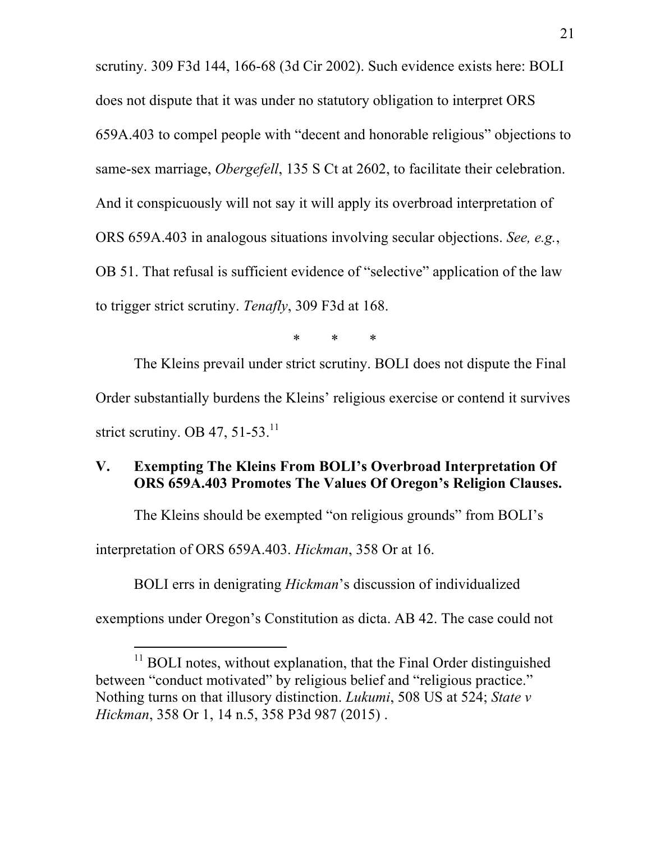scrutiny. 309 F3d 144, 166-68 (3d Cir 2002). Such evidence exists here: BOLI does not dispute that it was under no statutory obligation to interpret ORS 659A.403 to compel people with "decent and honorable religious" objections to same-sex marriage, *Obergefell*, 135 S Ct at 2602, to facilitate their celebration. And it conspicuously will not say it will apply its overbroad interpretation of ORS 659A.403 in analogous situations involving secular objections. *See, e.g.*, OB 51. That refusal is sufficient evidence of "selective" application of the law to trigger strict scrutiny. *Tenafly*, 309 F3d at 168.

\* \* \*

The Kleins prevail under strict scrutiny. BOLI does not dispute the Final Order substantially burdens the Kleins' religious exercise or contend it survives strict scrutiny. OB 47, 51-53. $^{11}$ 

### **V. Exempting The Kleins From BOLI's Overbroad Interpretation Of ORS 659A.403 Promotes The Values Of Oregon's Religion Clauses.**

The Kleins should be exempted "on religious grounds" from BOLI's

interpretation of ORS 659A.403. *Hickman*, 358 Or at 16.

 $\overline{a}$ 

BOLI errs in denigrating *Hickman*'s discussion of individualized exemptions under Oregon's Constitution as dicta. AB 42. The case could not

 $11$  BOLI notes, without explanation, that the Final Order distinguished between "conduct motivated" by religious belief and "religious practice." Nothing turns on that illusory distinction. *Lukumi*, 508 US at 524; *State v Hickman*, 358 Or 1, 14 n.5, 358 P3d 987 (2015) .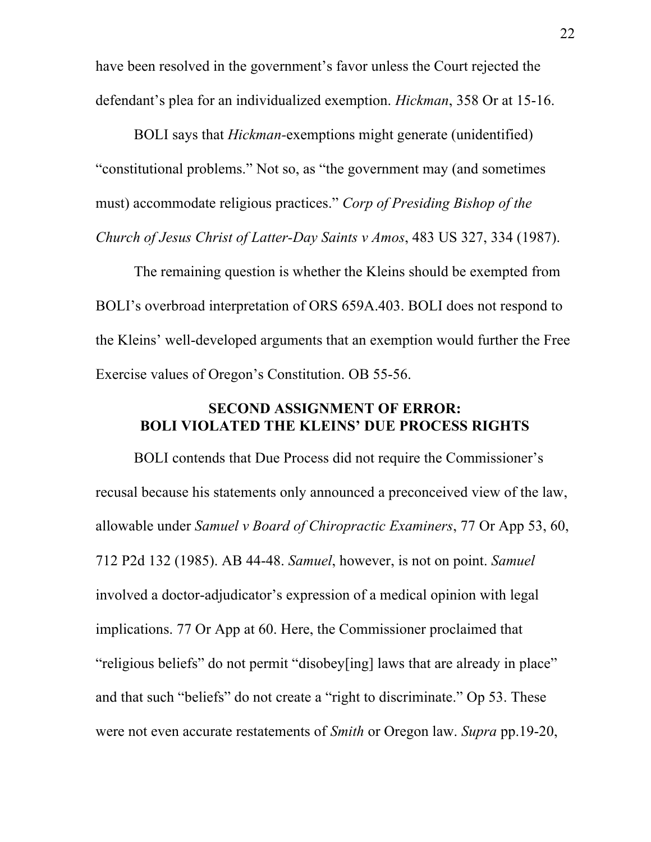have been resolved in the government's favor unless the Court rejected the defendant's plea for an individualized exemption. *Hickman*, 358 Or at 15-16.

BOLI says that *Hickman-*exemptions might generate (unidentified) "constitutional problems." Not so, as "the government may (and sometimes must) accommodate religious practices." *Corp of Presiding Bishop of the Church of Jesus Christ of Latter-Day Saints v Amos*, 483 US 327, 334 (1987).

The remaining question is whether the Kleins should be exempted from BOLI's overbroad interpretation of ORS 659A.403. BOLI does not respond to the Kleins' well-developed arguments that an exemption would further the Free Exercise values of Oregon's Constitution. OB 55-56.

## **SECOND ASSIGNMENT OF ERROR: BOLI VIOLATED THE KLEINS' DUE PROCESS RIGHTS**

BOLI contends that Due Process did not require the Commissioner's recusal because his statements only announced a preconceived view of the law, allowable under *Samuel v Board of Chiropractic Examiners*, 77 Or App 53, 60, 712 P2d 132 (1985). AB 44-48. *Samuel*, however, is not on point. *Samuel* involved a doctor-adjudicator's expression of a medical opinion with legal implications. 77 Or App at 60. Here, the Commissioner proclaimed that "religious beliefs" do not permit "disobey[ing] laws that are already in place" and that such "beliefs" do not create a "right to discriminate." Op 53. These were not even accurate restatements of *Smith* or Oregon law. *Supra* pp.19-20,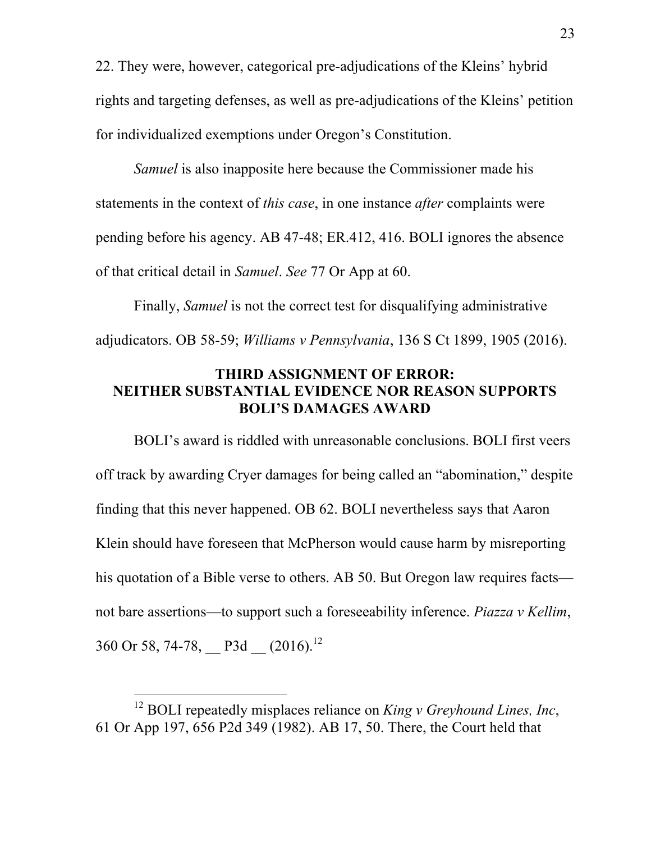22. They were, however, categorical pre-adjudications of the Kleins' hybrid rights and targeting defenses, as well as pre-adjudications of the Kleins' petition for individualized exemptions under Oregon's Constitution.

*Samuel* is also inapposite here because the Commissioner made his statements in the context of *this case*, in one instance *after* complaints were pending before his agency. AB 47-48; ER.412, 416. BOLI ignores the absence of that critical detail in *Samuel*. *See* 77 Or App at 60.

Finally, *Samuel* is not the correct test for disqualifying administrative adjudicators. OB 58-59; *Williams v Pennsylvania*, 136 S Ct 1899, 1905 (2016).

## **THIRD ASSIGNMENT OF ERROR: NEITHER SUBSTANTIAL EVIDENCE NOR REASON SUPPORTS BOLI'S DAMAGES AWARD**

BOLI's award is riddled with unreasonable conclusions. BOLI first veers off track by awarding Cryer damages for being called an "abomination," despite finding that this never happened. OB 62. BOLI nevertheless says that Aaron Klein should have foreseen that McPherson would cause harm by misreporting his quotation of a Bible verse to others. AB 50. But Oregon law requires facts not bare assertions—to support such a foreseeability inference. *Piazza v Kellim*, 360 Or 58, 74-78, P3d  $(2016)^{12}$ 

l

<sup>12</sup> BOLI repeatedly misplaces reliance on *King v Greyhound Lines, Inc*, 61 Or App 197, 656 P2d 349 (1982). AB 17, 50. There, the Court held that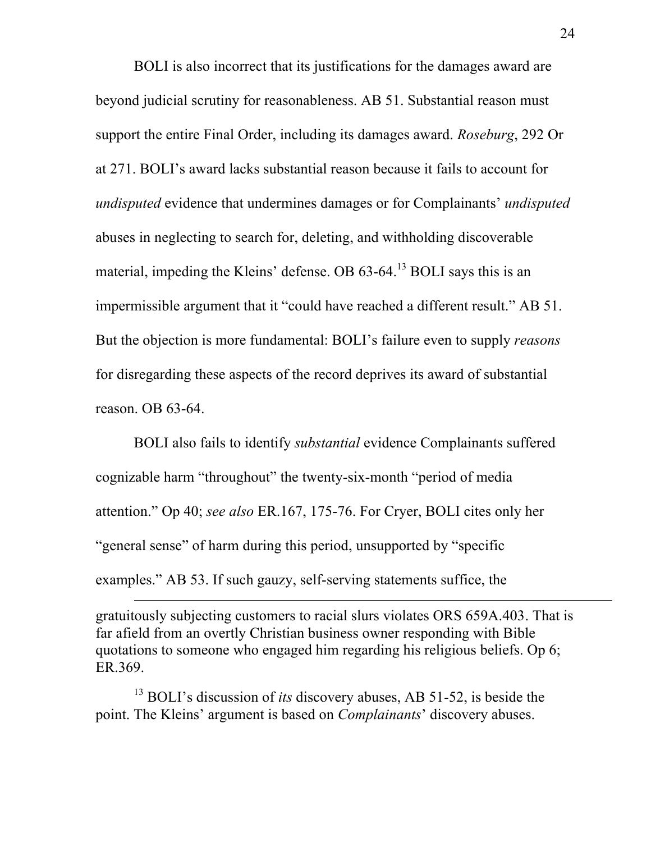BOLI is also incorrect that its justifications for the damages award are beyond judicial scrutiny for reasonableness. AB 51. Substantial reason must support the entire Final Order, including its damages award. *Roseburg*, 292 Or at 271. BOLI's award lacks substantial reason because it fails to account for *undisputed* evidence that undermines damages or for Complainants' *undisputed* abuses in neglecting to search for, deleting, and withholding discoverable material, impeding the Kleins' defense. OB 63-64.<sup>13</sup> BOLI says this is an impermissible argument that it "could have reached a different result." AB 51. But the objection is more fundamental: BOLI's failure even to supply *reasons* for disregarding these aspects of the record deprives its award of substantial reason. OB 63-64.

BOLI also fails to identify *substantial* evidence Complainants suffered cognizable harm "throughout" the twenty-six-month "period of media attention." Op 40; *see also* ER.167, 175-76. For Cryer, BOLI cites only her "general sense" of harm during this period, unsupported by "specific examples." AB 53. If such gauzy, self-serving statements suffice, the

gratuitously subjecting customers to racial slurs violates ORS 659A.403. That is far afield from an overtly Christian business owner responding with Bible quotations to someone who engaged him regarding his religious beliefs. Op 6; ER.369.

<sup>&</sup>lt;sup>13</sup> BOLI's discussion of *its* discovery abuses, AB 51-52, is beside the point. The Kleins' argument is based on *Complainants*' discovery abuses.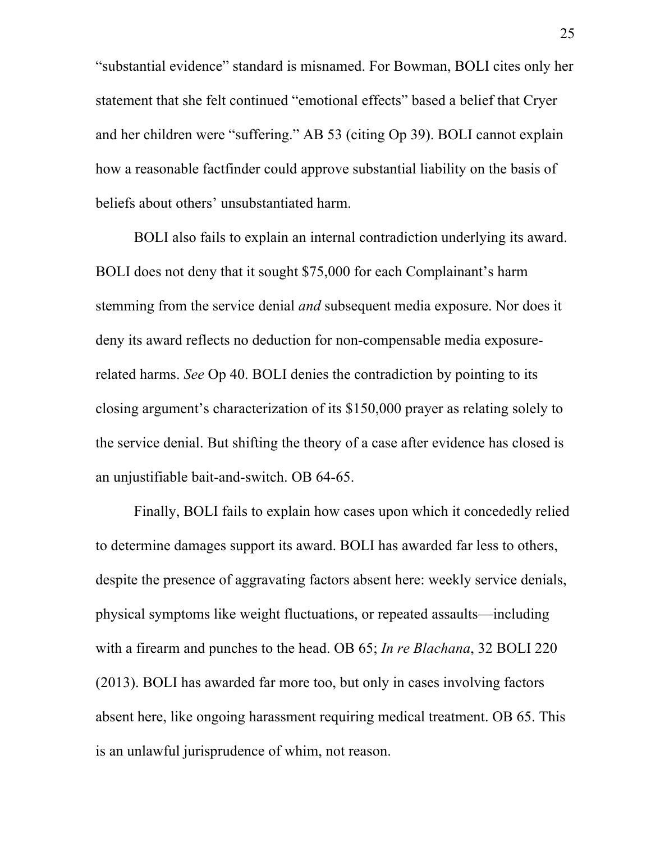"substantial evidence" standard is misnamed. For Bowman, BOLI cites only her statement that she felt continued "emotional effects" based a belief that Cryer and her children were "suffering." AB 53 (citing Op 39). BOLI cannot explain how a reasonable factfinder could approve substantial liability on the basis of beliefs about others' unsubstantiated harm.

BOLI also fails to explain an internal contradiction underlying its award. BOLI does not deny that it sought \$75,000 for each Complainant's harm stemming from the service denial *and* subsequent media exposure. Nor does it deny its award reflects no deduction for non-compensable media exposurerelated harms. *See* Op 40. BOLI denies the contradiction by pointing to its closing argument's characterization of its \$150,000 prayer as relating solely to the service denial. But shifting the theory of a case after evidence has closed is an unjustifiable bait-and-switch. OB 64-65.

Finally, BOLI fails to explain how cases upon which it concededly relied to determine damages support its award. BOLI has awarded far less to others, despite the presence of aggravating factors absent here: weekly service denials, physical symptoms like weight fluctuations, or repeated assaults—including with a firearm and punches to the head. OB 65; *In re Blachana*, 32 BOLI 220 (2013). BOLI has awarded far more too, but only in cases involving factors absent here, like ongoing harassment requiring medical treatment. OB 65. This is an unlawful jurisprudence of whim, not reason.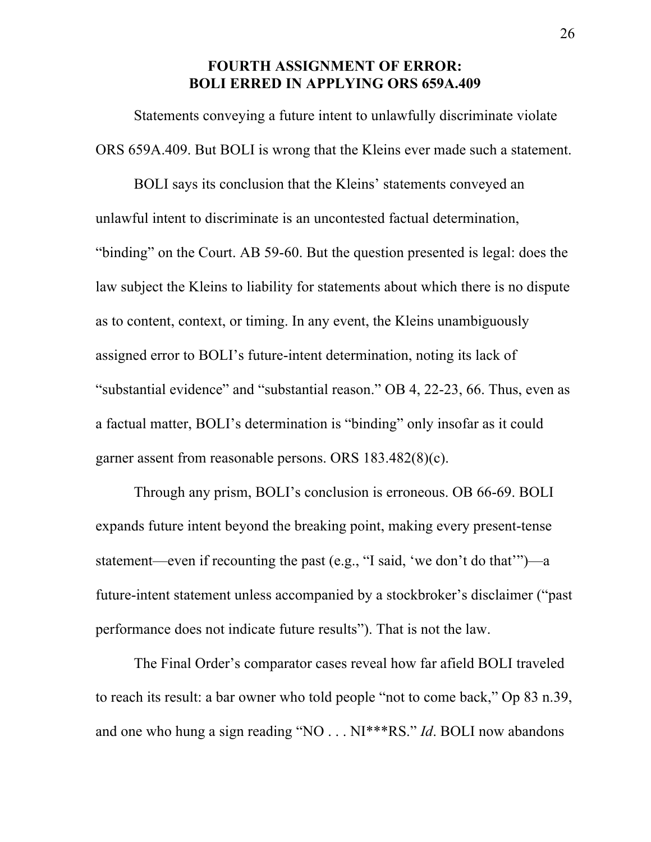### **FOURTH ASSIGNMENT OF ERROR: BOLI ERRED IN APPLYING ORS 659A.409**

Statements conveying a future intent to unlawfully discriminate violate ORS 659A.409. But BOLI is wrong that the Kleins ever made such a statement.

BOLI says its conclusion that the Kleins' statements conveyed an unlawful intent to discriminate is an uncontested factual determination, "binding" on the Court. AB 59-60. But the question presented is legal: does the law subject the Kleins to liability for statements about which there is no dispute as to content, context, or timing. In any event, the Kleins unambiguously assigned error to BOLI's future-intent determination, noting its lack of "substantial evidence" and "substantial reason." OB 4, 22-23, 66. Thus, even as a factual matter, BOLI's determination is "binding" only insofar as it could garner assent from reasonable persons. ORS 183.482(8)(c).

Through any prism, BOLI's conclusion is erroneous. OB 66-69. BOLI expands future intent beyond the breaking point, making every present-tense statement—even if recounting the past (e.g., "I said, 'we don't do that'")—a future-intent statement unless accompanied by a stockbroker's disclaimer ("past performance does not indicate future results"). That is not the law.

The Final Order's comparator cases reveal how far afield BOLI traveled to reach its result: a bar owner who told people "not to come back," Op 83 n.39, and one who hung a sign reading "NO . . . NI\*\*\*RS." *Id*. BOLI now abandons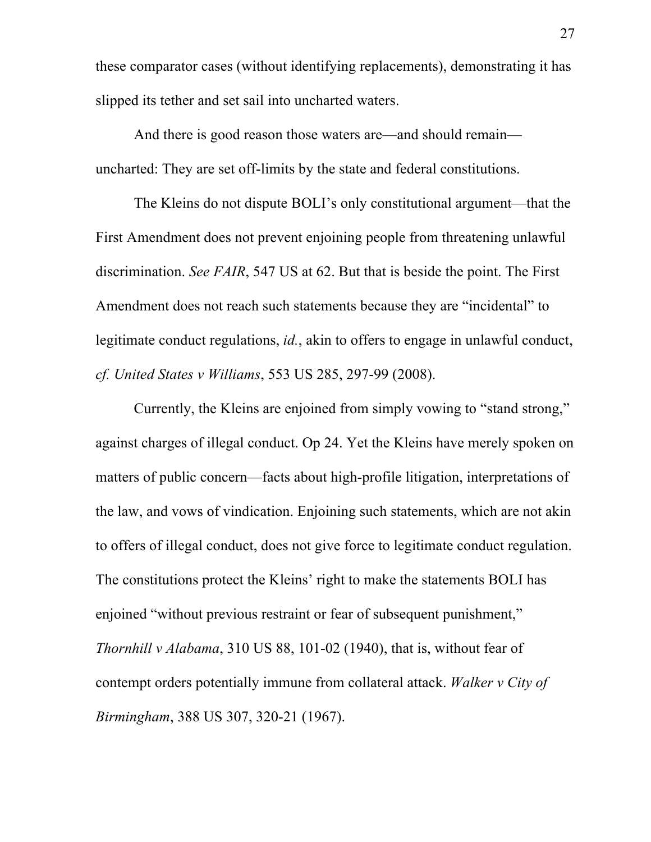these comparator cases (without identifying replacements), demonstrating it has slipped its tether and set sail into uncharted waters.

And there is good reason those waters are—and should remain uncharted: They are set off-limits by the state and federal constitutions.

The Kleins do not dispute BOLI's only constitutional argument—that the First Amendment does not prevent enjoining people from threatening unlawful discrimination. *See FAIR*, 547 US at 62. But that is beside the point. The First Amendment does not reach such statements because they are "incidental" to legitimate conduct regulations, *id.*, akin to offers to engage in unlawful conduct, *cf. United States v Williams*, 553 US 285, 297-99 (2008).

Currently, the Kleins are enjoined from simply vowing to "stand strong," against charges of illegal conduct. Op 24. Yet the Kleins have merely spoken on matters of public concern—facts about high-profile litigation, interpretations of the law, and vows of vindication. Enjoining such statements, which are not akin to offers of illegal conduct, does not give force to legitimate conduct regulation. The constitutions protect the Kleins' right to make the statements BOLI has enjoined "without previous restraint or fear of subsequent punishment," *Thornhill v Alabama*, 310 US 88, 101-02 (1940), that is, without fear of contempt orders potentially immune from collateral attack. *Walker v City of Birmingham*, 388 US 307, 320-21 (1967).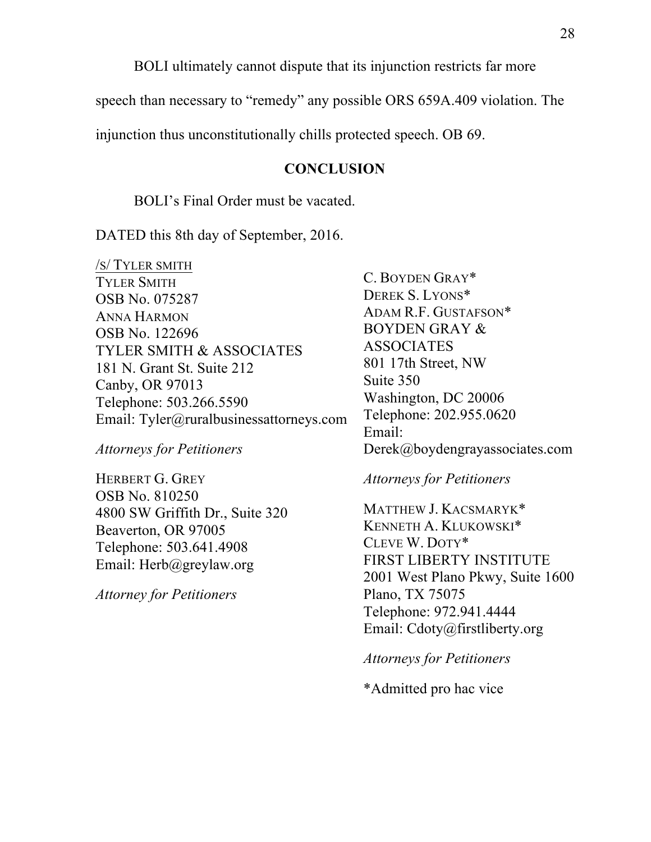BOLI ultimately cannot dispute that its injunction restricts far more

speech than necessary to "remedy" any possible ORS 659A.409 violation. The

injunction thus unconstitutionally chills protected speech. OB 69.

#### **CONCLUSION**

#### BOLI's Final Order must be vacated.

DATED this 8th day of September, 2016.

/S/ TYLER SMITH TYLER SMITH OSB No. 075287 ANNA HARMON OSB No. 122696 TYLER SMITH & ASSOCIATES 181 N. Grant St. Suite 212 Canby, OR 97013 Telephone: 503.266.5590 Email: Tyler@ruralbusinessattorneys.com

*Attorneys for Petitioners*

HERBERT G. GREY OSB No. 810250 4800 SW Griffith Dr., Suite 320 Beaverton, OR 97005 Telephone: 503.641.4908 Email: Herb@greylaw.org

*Attorney for Petitioners*

C. BOYDEN GRAY\* DEREK S. LYONS\* ADAM R.F. GUSTAFSON\* BOYDEN GRAY & ASSOCIATES 801 17th Street, NW Suite 350 Washington, DC 20006 Telephone: 202.955.0620 Email: Derek@boydengrayassociates.com

#### *Attorneys for Petitioners*

MATTHEW J. KACSMARYK\* KENNETH A. KLUKOWSKI\* CLEVE W. DOTY\* FIRST LIBERTY INSTITUTE 2001 West Plano Pkwy, Suite 1600 Plano, TX 75075 Telephone: 972.941.4444 Email: Cdoty@firstliberty.org

*Attorneys for Petitioners*

\*Admitted pro hac vice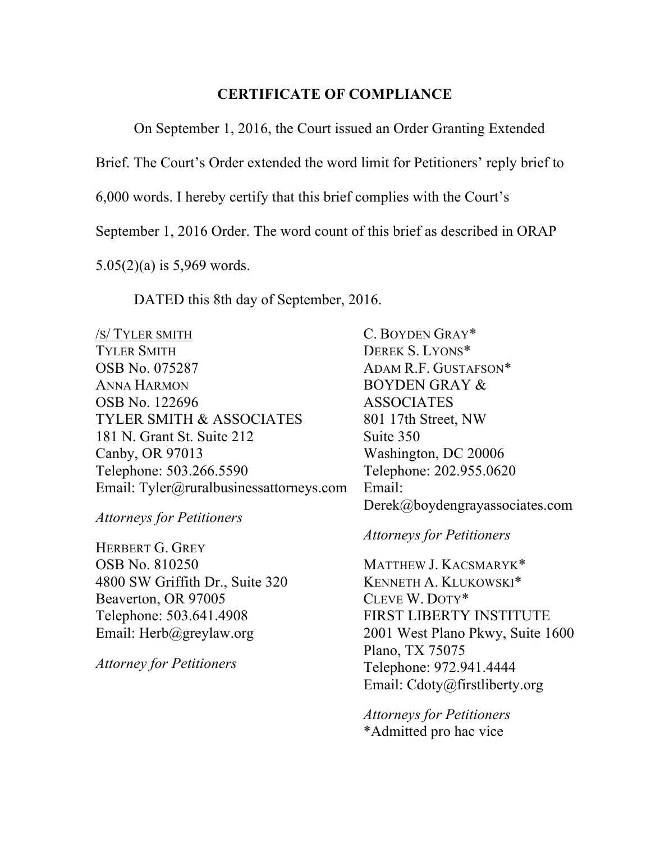### **CERTIFICATE OF COMPLIANCE**

On September 1, 2016, the Court issued an Order Granting Extended

Brief. The Court's Order extended the word limit for Petitioners' reply brief to

6,000 words. I hereby certify that this brief complies with the Court's

September 1, 2016 Order. The word count of this brief as described in ORAP

5.05(2)(a) is 5,969 words.

DATED this 8th day of September, 2016.

/S/ TYLER SMITH TYLER SMITH OSB No. 075287 ANNA HARMON OSB No. 122696 TYLER SMITH & ASSOCIATES 181 N. Grant St. Suite 212 Canby, OR 97013 Telephone: 503.266.5590 Email: Tyler@ruralbusinessattorneys.com

*Attorneys for Petitioners*

HERBERT G. GREY OSB No. 810250 4800 SW Griffith Dr., Suite 320 Beaverton, OR 97005 Telephone: 503.641.4908 Email: Herb@greylaw.org

*Attorney for Petitioners*

C. BOYDEN GRAY\* DEREK S. LYONS\* ADAM R.F. GUSTAFSON\* BOYDEN GRAY & ASSOCIATES 801 17th Street, NW Suite 350 Washington, DC 20006 Telephone: 202.955.0620 Email: Derek@boydengrayassociates.com

#### *Attorneys for Petitioners*

MATTHEW J. KACSMARYK\* KENNETH A. KLUKOWSKI\* CLEVE W. DOTY\* FIRST LIBERTY INSTITUTE 2001 West Plano Pkwy, Suite 1600 Plano, TX 75075 Telephone: 972.941.4444 Email: Cdoty@firstliberty.org

*Attorneys for Petitioners* \*Admitted pro hac vice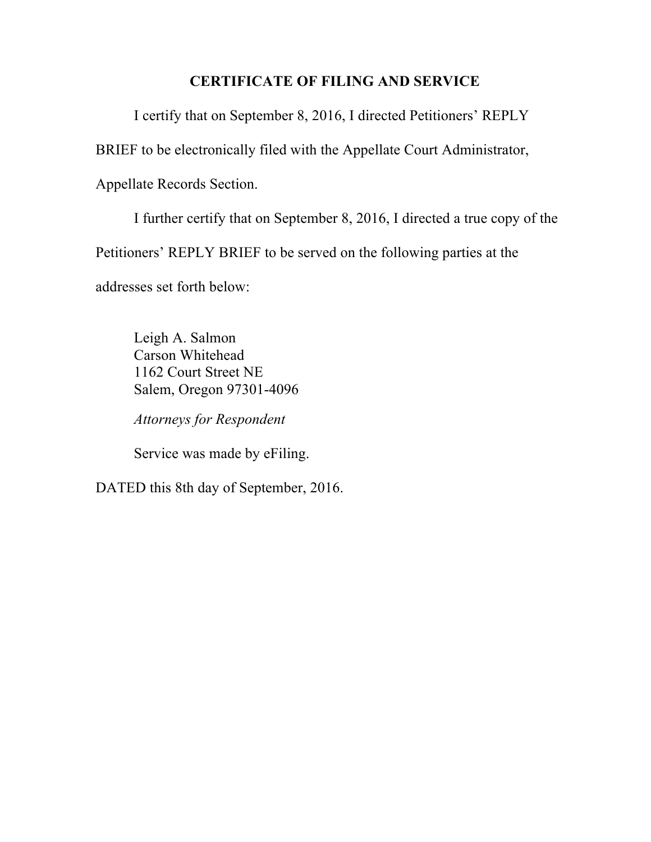# **CERTIFICATE OF FILING AND SERVICE**

I certify that on September 8, 2016, I directed Petitioners' REPLY

BRIEF to be electronically filed with the Appellate Court Administrator,

Appellate Records Section.

I further certify that on September 8, 2016, I directed a true copy of the Petitioners' REPLY BRIEF to be served on the following parties at the addresses set forth below:

Leigh A. Salmon Carson Whitehead 1162 Court Street NE Salem, Oregon 97301-4096

*Attorneys for Respondent*

Service was made by eFiling.

DATED this 8th day of September, 2016.